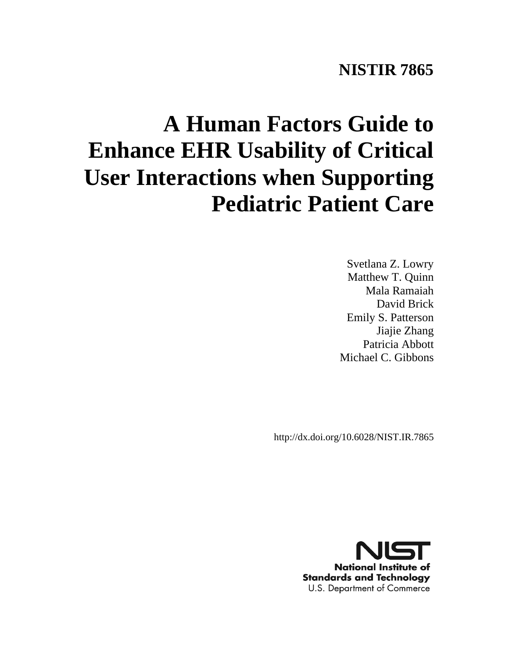# **NISTIR 7865**

# **A Human Factors Guide to Enhance EHR Usability of Critical User Interactions when Supporting Pediatric Patient Care**

Svetlana Z. Lowry Matthew T. Quinn Mala Ramaiah David Brick Emily S. Patterson Jiajie Zhang Patricia Abbott Michael C. Gibbons

http://dx.doi.org/10.6028/NIST.IR.7865

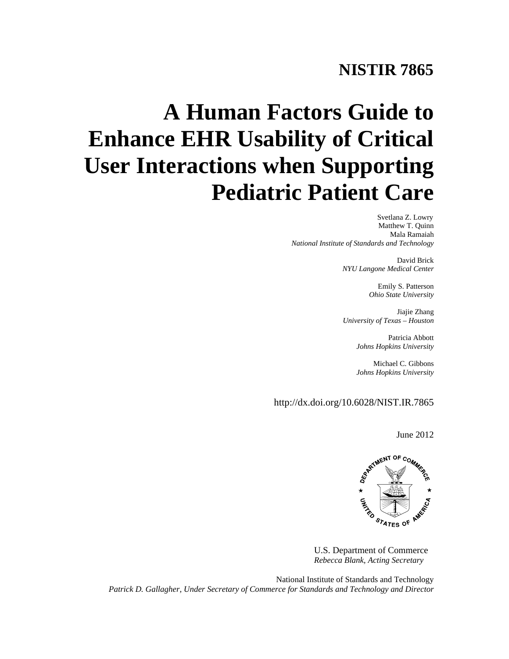## **NISTIR 7865**

# **A Human Factors Guide to Enhance EHR Usability of Critical User Interactions when Supporting Pediatric Patient Care**

 Svetlana Z. Lowry Matthew T. Quinn Mala Ramaiah *National Institute of Standards and Technology* 

> David Brick *NYU Langone Medical Center*

> > Emily S. Patterson *Ohio State University*

Jiajie Zhang *University of Texas – Houston* 

> Patricia Abbott *Johns Hopkins University*

> Michael C. Gibbons *Johns Hopkins University*

#### http://dx.doi.org/10.6028/NIST.IR.7865

June 2012



U.S. Department of Commerce *Rebecca Blank, Acting Secretary* 

National Institute of Standards and Technology *Patrick D. Gallagher, Under Secretary of Commerce for Standards and Technology and Director*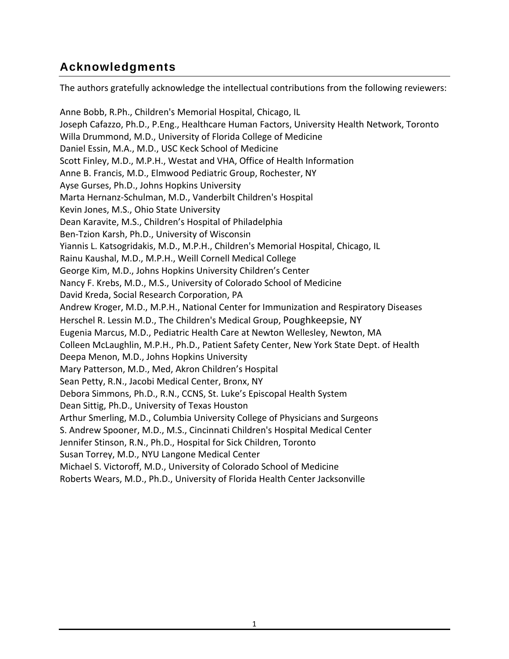## **Acknowledgments**

The authors gratefully acknowledge the intellectual contributions from the following reviewers:

Anne Bobb, R.Ph., Children's Memorial Hospital, Chicago, IL Joseph Cafazzo, Ph.D., P.Eng., Healthcare Human Factors, University Health Network, Toronto Willa Drummond, M.D., University of Florida College of Medicine Daniel Essin, M.A., M.D., USC Keck School of Medicine Scott Finley, M.D., M.P.H., Westat and VHA, Office of Health Information Anne B. Francis, M.D., Elmwood Pediatric Group, Rochester, NY Ayse Gurses, Ph.D., Johns Hopkins University Marta Hernanz‐Schulman, M.D., Vanderbilt Children's Hospital Kevin Jones, M.S., Ohio State University Dean Karavite, M.S., Children's Hospital of Philadelphia Ben‐Tzion Karsh, Ph.D., University of Wisconsin Yiannis L. Katsogridakis, M.D., M.P.H., Children's Memorial Hospital, Chicago, IL Rainu Kaushal, M.D., M.P.H., Weill Cornell Medical College George Kim, M.D., Johns Hopkins University Children's Center Nancy F. Krebs, M.D., M.S., University of Colorado School of Medicine David Kreda, Social Research Corporation, PA Andrew Kroger, M.D., M.P.H., National Center for Immunization and Respiratory Diseases Herschel R. Lessin M.D., The Children's Medical Group, Poughkeepsie, NY Eugenia Marcus, M.D., Pediatric Health Care at Newton Wellesley, Newton, MA Colleen McLaughlin, M.P.H., Ph.D., Patient Safety Center, New York State Dept. of Health Deepa Menon, M.D., Johns Hopkins University Mary Patterson, M.D., Med, Akron Children's Hospital Sean Petty, R.N., Jacobi Medical Center, Bronx, NY Debora Simmons, Ph.D., R.N., CCNS, St. Luke's Episcopal Health System Dean Sittig, Ph.D., University of Texas Houston Arthur Smerling, M.D., Columbia University College of Physicians and Surgeons S. Andrew Spooner, M.D., M.S., Cincinnati Children's Hospital Medical Center Jennifer Stinson, R.N., Ph.D., Hospital for Sick Children, Toronto Susan Torrey, M.D., NYU Langone Medical Center Michael S. Victoroff, M.D., University of Colorado School of Medicine Roberts Wears, M.D., Ph.D., University of Florida Health Center Jacksonville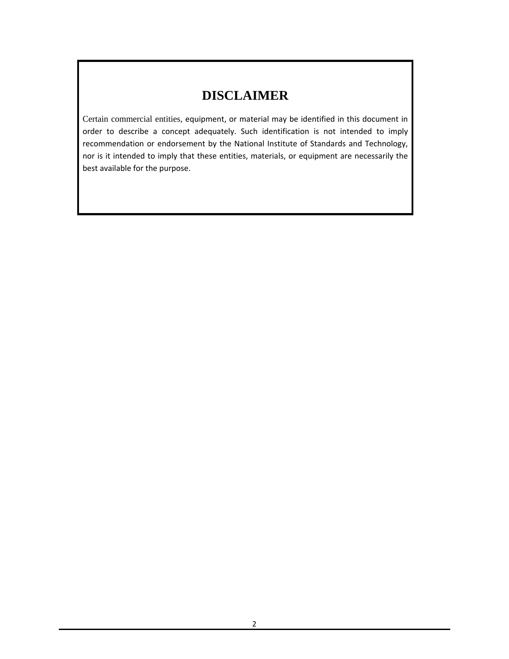## **DISCLAIMER**

Certain commercial entities, equipment, or material may be identified in this document in order to describe a concept adequately. Such identification is not intended to imply recommendation or endorsement by the National Institute of Standards and Technology, nor is it intended to imply that these entities, materials, or equipment are necessarily the best available for the purpose.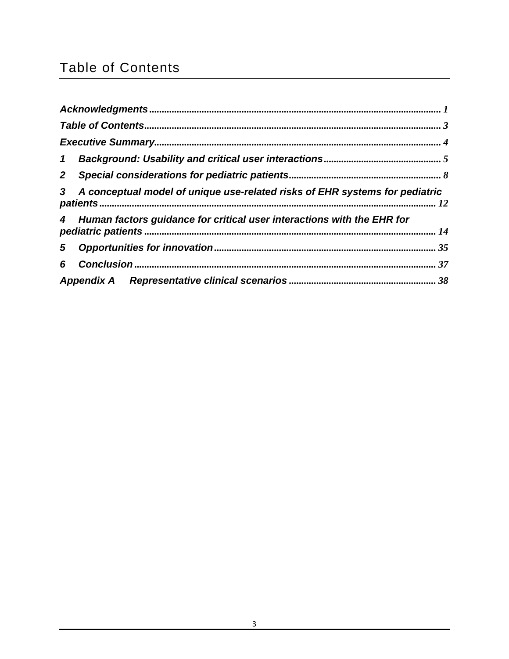## **Table of Contents**

| $\mathbf 1$ |                                                                               |  |
|-------------|-------------------------------------------------------------------------------|--|
|             |                                                                               |  |
|             | 3 A conceptual model of unique use-related risks of EHR systems for pediatric |  |
|             |                                                                               |  |
| 4           | Human factors guidance for critical user interactions with the EHR for        |  |
| 5           |                                                                               |  |
| 6           |                                                                               |  |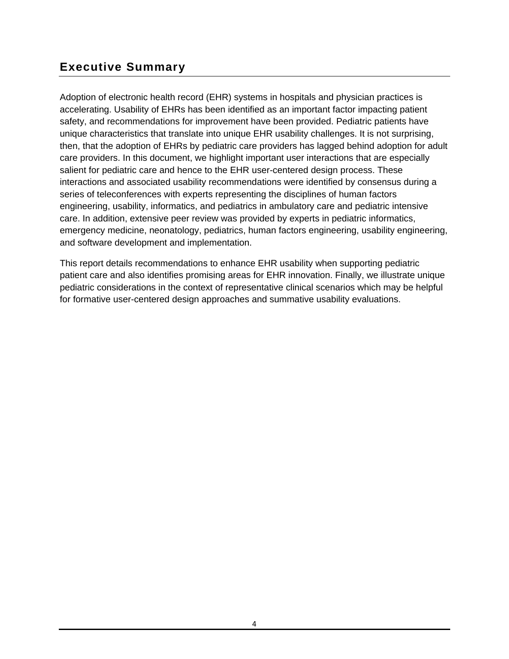#### **Executive Summary**

Adoption of electronic health record (EHR) systems in hospitals and physician practices is accelerating. Usability of EHRs has been identified as an important factor impacting patient safety, and recommendations for improvement have been provided. Pediatric patients have unique characteristics that translate into unique EHR usability challenges. It is not surprising, then, that the adoption of EHRs by pediatric care providers has lagged behind adoption for adult care providers. In this document, we highlight important user interactions that are especially salient for pediatric care and hence to the EHR user-centered design process. These interactions and associated usability recommendations were identified by consensus during a series of teleconferences with experts representing the disciplines of human factors engineering, usability, informatics, and pediatrics in ambulatory care and pediatric intensive care. In addition, extensive peer review was provided by experts in pediatric informatics, emergency medicine, neonatology, pediatrics, human factors engineering, usability engineering, and software development and implementation.

This report details recommendations to enhance EHR usability when supporting pediatric patient care and also identifies promising areas for EHR innovation. Finally, we illustrate unique pediatric considerations in the context of representative clinical scenarios which may be helpful for formative user-centered design approaches and summative usability evaluations.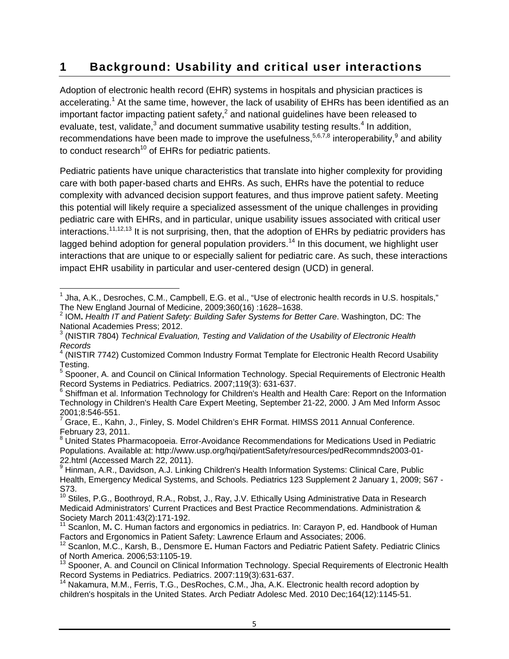### **1 Background: Usability and critical user interactions**

Adoption of electronic health record (EHR) systems in hospitals and physician practices is accelerating.<sup>1</sup> At the same time, however, the lack of usability of EHRs has been identified as an important factor impacting patient safety,<sup>2</sup> and national guidelines have been released to evaluate, test, validate,<sup>3</sup> and document summative usability testing results.<sup>4</sup> In addition, recommendations have been made to improve the usefulness,  $5,6,7,8$  interoperability,  $9$  and ability to conduct research $10$  of EHRs for pediatric patients.

Pediatric patients have unique characteristics that translate into higher complexity for providing care with both paper-based charts and EHRs. As such, EHRs have the potential to reduce complexity with advanced decision support features, and thus improve patient safety. Meeting this potential will likely require a specialized assessment of the unique challenges in providing pediatric care with EHRs, and in particular, unique usability issues associated with critical user interactions.<sup>11,12,13</sup> It is not surprising, then, that the adoption of EHRs by pediatric providers has lagged behind adoption for general population providers.<sup>14</sup> In this document, we highlight user interactions that are unique to or especially salient for pediatric care. As such, these interactions impact EHR usability in particular and user-centered design (UCD) in general.

 <sup>1</sup> Jha, A.K., Desroches, C.M., Campbell, E.G. et al., "Use of electronic health records in U.S. hospitals," The New England Journal of Medicine, 2009;360(16) :1628–1638. 2

<sup>&</sup>lt;sup>2</sup> IOM. Health IT and Patient Safety: Building Safer Systems for Better Care. Washington, DC: The National Academies Press; 2012.

<sup>3</sup> (NISTIR 7804) *Technical Evaluation, Testing and Validation of the Usability of Electronic Health Records*

<sup>&</sup>lt;sup>4</sup> (NISTIR 7742) Customized Common Industry Format Template for Electronic Health Record Usability Testing.

<sup>&</sup>lt;sup>5</sup> Spooner, A. and Council on Clinical Information Technology. Special Requirements of Electronic Health Record Systems in Pediatrics. Pediatrics. 2007;119(3): 631-637.

Shiffman et al. Information Technology for Children's Health and Health Care: Report on the Information Technology in Children's Health Care Expert Meeting, September 21-22, 2000. J Am Med Inform Assoc 2001;8:546-551.

<sup>7</sup> Grace, E., Kahn, J., Finley, S. Model Children's EHR Format. HIMSS 2011 Annual Conference. February 23, 2011.

<sup>&</sup>lt;sup>8</sup> United States Pharmacopoeia. Error-Avoidance Recommendations for Medications Used in Pediatric Populations. Available at: http://www.usp.org/hqi/patientSafety/resources/pedRecommnds2003-01- 22.html (Accessed March 22, 2011).

<sup>&</sup>lt;sup>9</sup> Hinman, A.R., Davidson, A.J. Linking Children's Health Information Systems: Clinical Care, Public Health, Emergency Medical Systems, and Schools. Pediatrics 123 Supplement 2 January 1, 2009; S67 - S73.

<sup>&</sup>lt;sup>10</sup> Stiles, P.G., Boothroyd, R.A., Robst, J., Ray, J.V. Ethically Using Administrative Data in Research Medicaid Administrators' Current Practices and Best Practice Recommendations. Administration & Society March 2011:43(2):171-192.

<sup>11</sup> Scanlon, M**.** C. Human factors and ergonomics in pediatrics. In: Carayon P, ed. Handbook of Human Factors and Ergonomics in Patient Safety: Lawrence Erlaum and Associates; 2006.

<sup>12</sup> Scanlon, M.C., Karsh, B., Densmore E**.** Human Factors and Pediatric Patient Safety. Pediatric Clinics of North America. 2006;53:1105-19.

<sup>&</sup>lt;sup>13</sup> Spooner, A. and Council on Clinical Information Technology. Special Requirements of Electronic Health Record Systems in Pediatrics. Pediatrics. 2007:119(3):631-637.<br><sup>14</sup> Nakamura, M.M., Ferris, T.G., DesRoches, C.M., Jha, A.K. Electronic health record adoption by

children's hospitals in the United States. Arch Pediatr Adolesc Med. 2010 Dec;164(12):1145-51.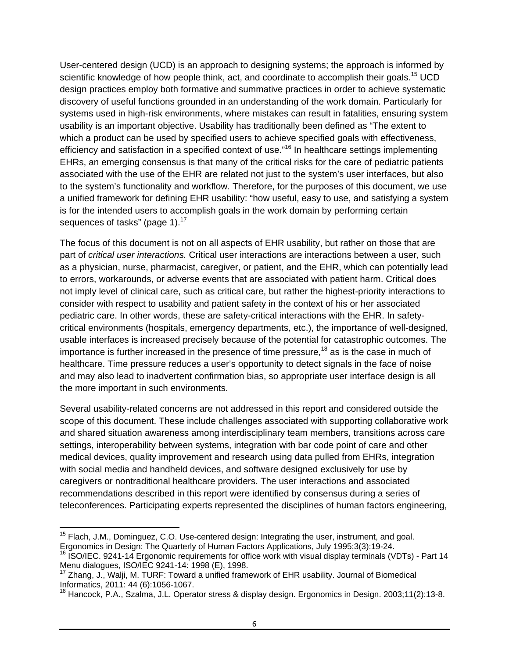User-centered design (UCD) is an approach to designing systems; the approach is informed by scientific knowledge of how people think, act, and coordinate to accomplish their goals.<sup>15</sup> UCD design practices employ both formative and summative practices in order to achieve systematic discovery of useful functions grounded in an understanding of the work domain. Particularly for systems used in high-risk environments, where mistakes can result in fatalities, ensuring system usability is an important objective. Usability has traditionally been defined as "The extent to which a product can be used by specified users to achieve specified goals with effectiveness, efficiency and satisfaction in a specified context of use."<sup>16</sup> In healthcare settings implementing EHRs, an emerging consensus is that many of the critical risks for the care of pediatric patients associated with the use of the EHR are related not just to the system's user interfaces, but also to the system's functionality and workflow. Therefore, for the purposes of this document, we use a unified framework for defining EHR usability: "how useful, easy to use, and satisfying a system is for the intended users to accomplish goals in the work domain by performing certain sequences of tasks" (page 1). $17$ 

The focus of this document is not on all aspects of EHR usability, but rather on those that are part of *critical user interactions.* Critical user interactions are interactions between a user, such as a physician, nurse, pharmacist, caregiver, or patient, and the EHR, which can potentially lead to errors, workarounds, or adverse events that are associated with patient harm. Critical does not imply level of clinical care, such as critical care, but rather the highest-priority interactions to consider with respect to usability and patient safety in the context of his or her associated pediatric care. In other words, these are safety-critical interactions with the EHR. In safetycritical environments (hospitals, emergency departments, etc.), the importance of well-designed, usable interfaces is increased precisely because of the potential for catastrophic outcomes. The importance is further increased in the presence of time pressure,  $18$  as is the case in much of healthcare. Time pressure reduces a user's opportunity to detect signals in the face of noise and may also lead to inadvertent confirmation bias, so appropriate user interface design is all the more important in such environments.

Several usability-related concerns are not addressed in this report and considered outside the scope of this document. These include challenges associated with supporting collaborative work and shared situation awareness among interdisciplinary team members, transitions across care settings, interoperability between systems, integration with bar code point of care and other medical devices, quality improvement and research using data pulled from EHRs, integration with social media and handheld devices, and software designed exclusively for use by caregivers or nontraditional healthcare providers. The user interactions and associated recommendations described in this report were identified by consensus during a series of teleconferences. Participating experts represented the disciplines of human factors engineering,

  $15$  Flach, J.M., Dominguez, C.O. Use-centered design: Integrating the user, instrument, and goal.

Ergonomics in Design: The Quarterly of Human Factors Applications, July 1995;3(3):19-24.<br><sup>16</sup> ISO/IEC. 9241-14 Ergonomic requirements for office work with visual display terminals (VDTs) - Part 14 Menu dialogues, ISO/IEC 9241-14: 1998 (E), 1998.

<sup>&</sup>lt;sup>17</sup> Zhang, J., Walji, M. TURF: Toward a unified framework of EHR usability. Journal of Biomedical Informatics, 2011: 44 (6):1056-1067.

<sup>&</sup>lt;sup>18</sup> Hancock, P.A., Szalma, J.L. Operator stress & display design. Ergonomics in Design. 2003;11(2):13-8.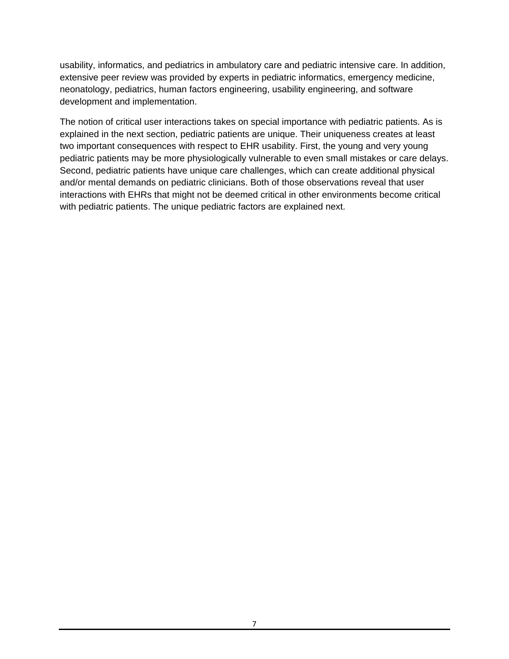usability, informatics, and pediatrics in ambulatory care and pediatric intensive care. In addition, extensive peer review was provided by experts in pediatric informatics, emergency medicine, neonatology, pediatrics, human factors engineering, usability engineering, and software development and implementation.

The notion of critical user interactions takes on special importance with pediatric patients. As is explained in the next section, pediatric patients are unique. Their uniqueness creates at least two important consequences with respect to EHR usability. First, the young and very young pediatric patients may be more physiologically vulnerable to even small mistakes or care delays. Second, pediatric patients have unique care challenges, which can create additional physical and/or mental demands on pediatric clinicians. Both of those observations reveal that user interactions with EHRs that might not be deemed critical in other environments become critical with pediatric patients. The unique pediatric factors are explained next.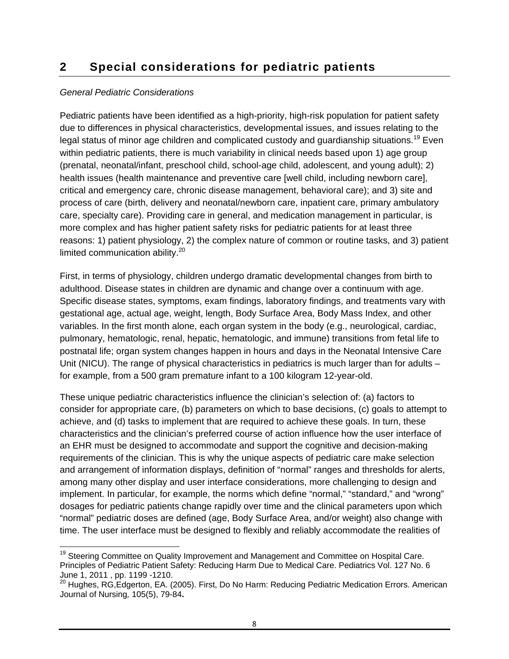## **2 Special considerations for pediatric patients**

#### *General Pediatric Considerations*

Pediatric patients have been identified as a high-priority, high-risk population for patient safety due to differences in physical characteristics, developmental issues, and issues relating to the legal status of minor age children and complicated custody and guardianship situations.<sup>19</sup> Even within pediatric patients, there is much variability in clinical needs based upon 1) age group (prenatal, neonatal/infant, preschool child, school-age child, adolescent, and young adult); 2) health issues (health maintenance and preventive care [well child, including newborn care], critical and emergency care, chronic disease management, behavioral care); and 3) site and process of care (birth, delivery and neonatal/newborn care, inpatient care, primary ambulatory care, specialty care). Providing care in general, and medication management in particular, is more complex and has higher patient safety risks for pediatric patients for at least three reasons: 1) patient physiology, 2) the complex nature of common or routine tasks, and 3) patient limited communication ability.<sup>20</sup>

First, in terms of physiology, children undergo dramatic developmental changes from birth to adulthood. Disease states in children are dynamic and change over a continuum with age. Specific disease states, symptoms, exam findings, laboratory findings, and treatments vary with gestational age, actual age, weight, length, Body Surface Area, Body Mass Index, and other variables. In the first month alone, each organ system in the body (e.g., neurological, cardiac, pulmonary, hematologic, renal, hepatic, hematologic, and immune) transitions from fetal life to postnatal life; organ system changes happen in hours and days in the Neonatal Intensive Care Unit (NICU). The range of physical characteristics in pediatrics is much larger than for adults – for example, from a 500 gram premature infant to a 100 kilogram 12-year-old.

These unique pediatric characteristics influence the clinician's selection of: (a) factors to consider for appropriate care, (b) parameters on which to base decisions, (c) goals to attempt to achieve, and (d) tasks to implement that are required to achieve these goals. In turn, these characteristics and the clinician's preferred course of action influence how the user interface of an EHR must be designed to accommodate and support the cognitive and decision-making requirements of the clinician. This is why the unique aspects of pediatric care make selection and arrangement of information displays, definition of "normal" ranges and thresholds for alerts, among many other display and user interface considerations, more challenging to design and implement. In particular, for example, the norms which define "normal," "standard," and "wrong" dosages for pediatric patients change rapidly over time and the clinical parameters upon which "normal" pediatric doses are defined (age, Body Surface Area, and/or weight) also change with time. The user interface must be designed to flexibly and reliably accommodate the realities of

<sup>&</sup>lt;u> 1980 - Andrea Albert III, martin am Franca</u> <sup>19</sup> Steering Committee on Quality Improvement and Management and Committee on Hospital Care. Principles of Pediatric Patient Safety: Reducing Harm Due to Medical Care. Pediatrics Vol. 127 No. 6 June 1, 2011 , pp. 1199 -1210.

<sup>&</sup>lt;sup>20</sup> Hughes, RG,Edgerton, EA. (2005). First, Do No Harm: Reducing Pediatric Medication Errors. American Journal of Nursing*,* 105(5), 79-84**.**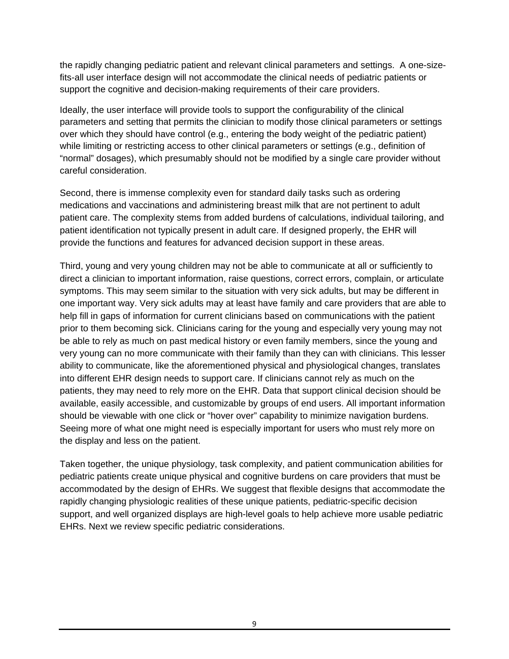the rapidly changing pediatric patient and relevant clinical parameters and settings. A one-sizefits-all user interface design will not accommodate the clinical needs of pediatric patients or support the cognitive and decision-making requirements of their care providers.

Ideally, the user interface will provide tools to support the configurability of the clinical parameters and setting that permits the clinician to modify those clinical parameters or settings over which they should have control (e.g., entering the body weight of the pediatric patient) while limiting or restricting access to other clinical parameters or settings (e.g., definition of "normal" dosages), which presumably should not be modified by a single care provider without careful consideration.

Second, there is immense complexity even for standard daily tasks such as ordering medications and vaccinations and administering breast milk that are not pertinent to adult patient care. The complexity stems from added burdens of calculations, individual tailoring, and patient identification not typically present in adult care. If designed properly, the EHR will provide the functions and features for advanced decision support in these areas.

Third, young and very young children may not be able to communicate at all or sufficiently to direct a clinician to important information, raise questions, correct errors, complain, or articulate symptoms. This may seem similar to the situation with very sick adults, but may be different in one important way. Very sick adults may at least have family and care providers that are able to help fill in gaps of information for current clinicians based on communications with the patient prior to them becoming sick. Clinicians caring for the young and especially very young may not be able to rely as much on past medical history or even family members, since the young and very young can no more communicate with their family than they can with clinicians. This lesser ability to communicate, like the aforementioned physical and physiological changes, translates into different EHR design needs to support care. If clinicians cannot rely as much on the patients, they may need to rely more on the EHR. Data that support clinical decision should be available, easily accessible, and customizable by groups of end users. All important information should be viewable with one click or "hover over" capability to minimize navigation burdens. Seeing more of what one might need is especially important for users who must rely more on the display and less on the patient.

Taken together, the unique physiology, task complexity, and patient communication abilities for pediatric patients create unique physical and cognitive burdens on care providers that must be accommodated by the design of EHRs. We suggest that flexible designs that accommodate the rapidly changing physiologic realities of these unique patients, pediatric-specific decision support, and well organized displays are high-level goals to help achieve more usable pediatric EHRs. Next we review specific pediatric considerations.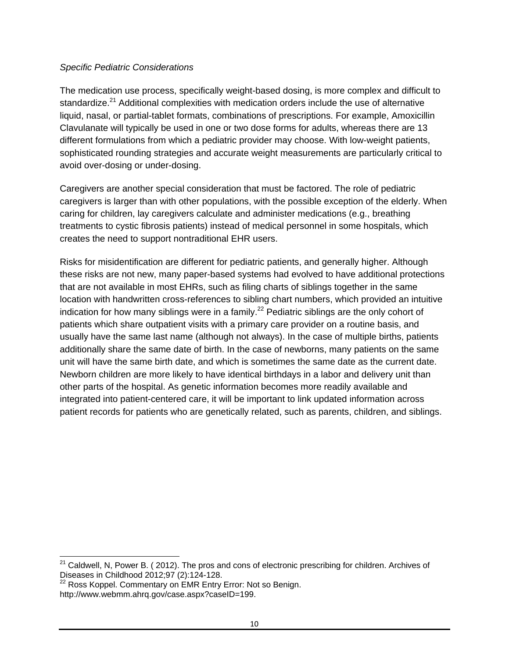#### *Specific Pediatric Considerations*

The medication use process, specifically weight-based dosing, is more complex and difficult to standardize.<sup>21</sup> Additional complexities with medication orders include the use of alternative liquid, nasal, or partial-tablet formats, combinations of prescriptions. For example, Amoxicillin Clavulanate will typically be used in one or two dose forms for adults, whereas there are 13 different formulations from which a pediatric provider may choose. With low-weight patients, sophisticated rounding strategies and accurate weight measurements are particularly critical to avoid over-dosing or under-dosing.

Caregivers are another special consideration that must be factored. The role of pediatric caregivers is larger than with other populations, with the possible exception of the elderly. When caring for children, lay caregivers calculate and administer medications (e.g., breathing treatments to cystic fibrosis patients) instead of medical personnel in some hospitals, which creates the need to support nontraditional EHR users.

Risks for misidentification are different for pediatric patients, and generally higher. Although these risks are not new, many paper-based systems had evolved to have additional protections that are not available in most EHRs, such as filing charts of siblings together in the same location with handwritten cross-references to sibling chart numbers, which provided an intuitive indication for how many siblings were in a family.<sup>22</sup> Pediatric siblings are the only cohort of patients which share outpatient visits with a primary care provider on a routine basis, and usually have the same last name (although not always). In the case of multiple births, patients additionally share the same date of birth. In the case of newborns, many patients on the same unit will have the same birth date, and which is sometimes the same date as the current date. Newborn children are more likely to have identical birthdays in a labor and delivery unit than other parts of the hospital. As genetic information becomes more readily available and integrated into patient-centered care, it will be important to link updated information across patient records for patients who are genetically related, such as parents, children, and siblings.

  $^{21}$  Caldwell, N, Power B. ( 2012). The pros and cons of electronic prescribing for children. Archives of Diseases in Childhood 2012;97 (2):124-128.

<sup>22</sup> Ross Koppel. Commentary on EMR Entry Error: Not so Benign. http://www.webmm.ahrq.gov/case.aspx?caseID=199.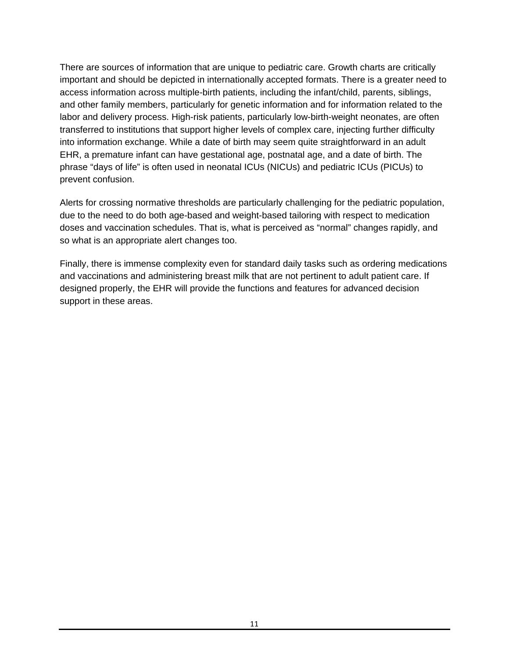There are sources of information that are unique to pediatric care. Growth charts are critically important and should be depicted in internationally accepted formats. There is a greater need to access information across multiple-birth patients, including the infant/child, parents, siblings, and other family members, particularly for genetic information and for information related to the labor and delivery process. High-risk patients, particularly low-birth-weight neonates, are often transferred to institutions that support higher levels of complex care, injecting further difficulty into information exchange. While a date of birth may seem quite straightforward in an adult EHR, a premature infant can have gestational age, postnatal age, and a date of birth. The phrase "days of life" is often used in neonatal ICUs (NICUs) and pediatric ICUs (PICUs) to prevent confusion.

Alerts for crossing normative thresholds are particularly challenging for the pediatric population, due to the need to do both age-based and weight-based tailoring with respect to medication doses and vaccination schedules. That is, what is perceived as "normal" changes rapidly, and so what is an appropriate alert changes too.

Finally, there is immense complexity even for standard daily tasks such as ordering medications and vaccinations and administering breast milk that are not pertinent to adult patient care. If designed properly, the EHR will provide the functions and features for advanced decision support in these areas.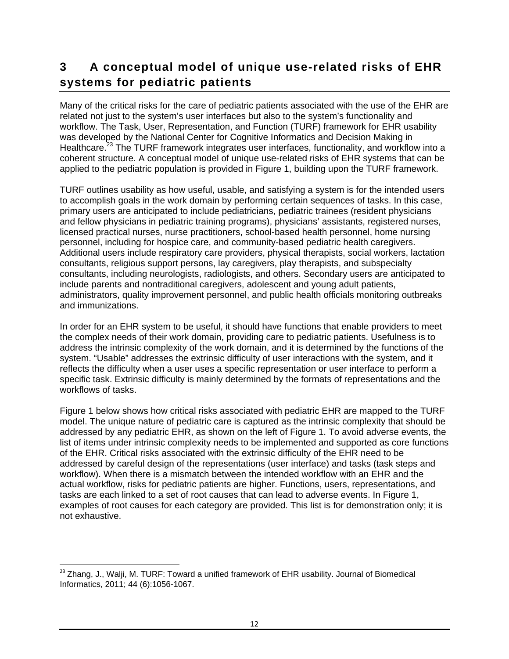## **3 A conceptual model of unique use-related risks of EHR systems for pediatric patients**

Many of the critical risks for the care of pediatric patients associated with the use of the EHR are related not just to the system's user interfaces but also to the system's functionality and workflow. The Task, User, Representation, and Function (TURF) framework for EHR usability was developed by the National Center for Cognitive Informatics and Decision Making in Healthcare.<sup>23</sup> The TURF framework integrates user interfaces, functionality, and workflow into a coherent structure. A conceptual model of unique use-related risks of EHR systems that can be applied to the pediatric population is provided in Figure 1, building upon the TURF framework.

TURF outlines usability as how useful, usable, and satisfying a system is for the intended users to accomplish goals in the work domain by performing certain sequences of tasks. In this case, primary users are anticipated to include pediatricians, pediatric trainees (resident physicians and fellow physicians in pediatric training programs), physicians' assistants, registered nurses, licensed practical nurses, nurse practitioners, school-based health personnel, home nursing personnel, including for hospice care, and community-based pediatric health caregivers. Additional users include respiratory care providers, physical therapists, social workers, lactation consultants, religious support persons, lay caregivers, play therapists, and subspecialty consultants, including neurologists, radiologists, and others. Secondary users are anticipated to include parents and nontraditional caregivers, adolescent and young adult patients, administrators, quality improvement personnel, and public health officials monitoring outbreaks and immunizations.

In order for an EHR system to be useful, it should have functions that enable providers to meet the complex needs of their work domain, providing care to pediatric patients. Usefulness is to address the intrinsic complexity of the work domain, and it is determined by the functions of the system. "Usable" addresses the extrinsic difficulty of user interactions with the system, and it reflects the difficulty when a user uses a specific representation or user interface to perform a specific task. Extrinsic difficulty is mainly determined by the formats of representations and the workflows of tasks.

Figure 1 below shows how critical risks associated with pediatric EHR are mapped to the TURF model. The unique nature of pediatric care is captured as the intrinsic complexity that should be addressed by any pediatric EHR, as shown on the left of Figure 1. To avoid adverse events, the list of items under intrinsic complexity needs to be implemented and supported as core functions of the EHR. Critical risks associated with the extrinsic difficulty of the EHR need to be addressed by careful design of the representations (user interface) and tasks (task steps and workflow). When there is a mismatch between the intended workflow with an EHR and the actual workflow, risks for pediatric patients are higher. Functions, users, representations, and tasks are each linked to a set of root causes that can lead to adverse events. In Figure 1, examples of root causes for each category are provided. This list is for demonstration only; it is not exhaustive.

<sup>&</sup>lt;sup>23</sup> Zhang, J., Walji, M. TURF: Toward a unified framework of EHR usability. Journal of Biomedical Informatics, 2011; 44 (6):1056-1067.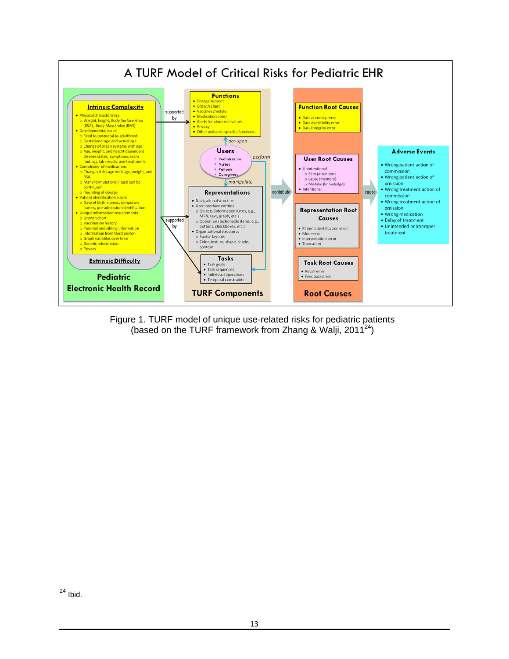

Figure 1. TURF model of unique use-related risks for pediatric patients (based on the TURF framework from Zhang & Walji, 2011 $^{24}$ )

  $^{24}$  Ibid.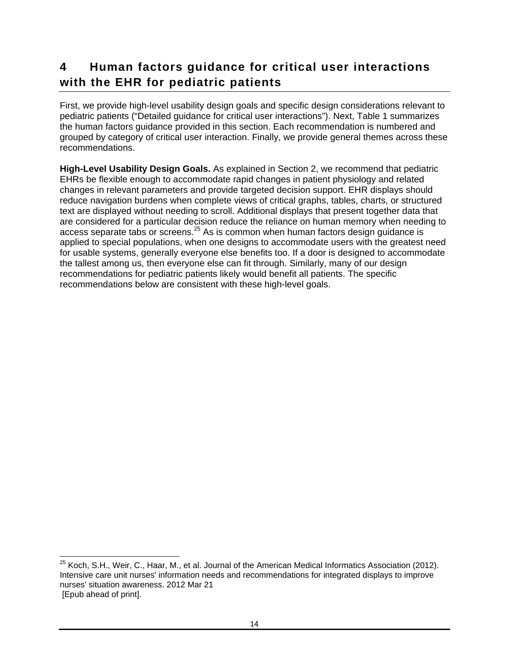## **4 Human factors guidance for critical user interactions with the EHR for pediatric patients**

First, we provide high-level usability design goals and specific design considerations relevant to pediatric patients ("Detailed guidance for critical user interactions"). Next, Table 1 summarizes the human factors guidance provided in this section. Each recommendation is numbered and grouped by category of critical user interaction. Finally, we provide general themes across these recommendations.

**High-Level Usability Design Goals.** As explained in Section 2, we recommend that pediatric EHRs be flexible enough to accommodate rapid changes in patient physiology and related changes in relevant parameters and provide targeted decision support. EHR displays should reduce navigation burdens when complete views of critical graphs, tables, charts, or structured text are displayed without needing to scroll. Additional displays that present together data that are considered for a particular decision reduce the reliance on human memory when needing to access separate tabs or screens. $25$  As is common when human factors design guidance is applied to special populations, when one designs to accommodate users with the greatest need for usable systems, generally everyone else benefits too. If a door is designed to accommodate the tallest among us, then everyone else can fit through. Similarly, many of our design recommendations for pediatric patients likely would benefit all patients. The specific recommendations below are consistent with these high-level goals.

 <sup>25</sup> Koch, S.H., Weir, C., Haar, M., et al. Journal of the American Medical Informatics Association (2012). Intensive care unit nurses' information needs and recommendations for integrated displays to improve nurses' situation awareness. 2012 Mar 21 [Epub ahead of print].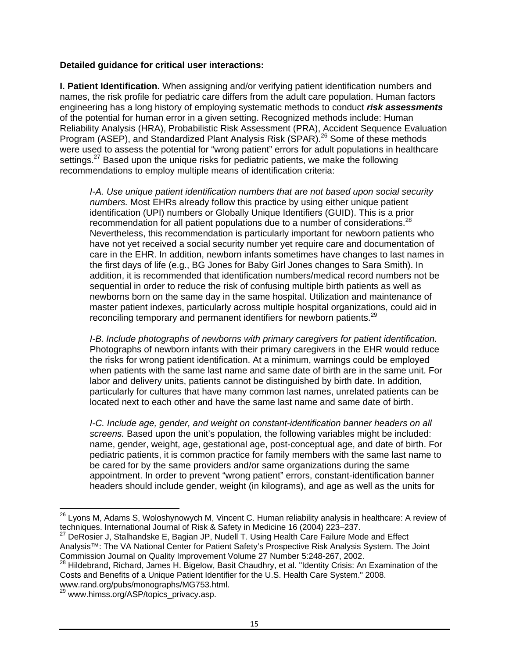#### **Detailed guidance for critical user interactions:**

**I. Patient Identification.** When assigning and/or verifying patient identification numbers and names, the risk profile for pediatric care differs from the adult care population. Human factors engineering has a long history of employing systematic methods to conduct *risk assessments*  of the potential for human error in a given setting. Recognized methods include: Human Reliability Analysis (HRA), Probabilistic Risk Assessment (PRA), Accident Sequence Evaluation Program (ASEP), and Standardized Plant Analysis Risk (SPAR).<sup>26</sup> Some of these methods were used to assess the potential for "wrong patient" errors for adult populations in healthcare settings.<sup>27</sup> Based upon the unique risks for pediatric patients, we make the following recommendations to employ multiple means of identification criteria:

*I-A. Use unique patient identification numbers that are not based upon social security numbers.* Most EHRs already follow this practice by using either unique patient identification (UPI) numbers or Globally Unique Identifiers (GUID). This is a prior recommendation for all patient populations due to a number of considerations.<sup>28</sup> Nevertheless, this recommendation is particularly important for newborn patients who have not yet received a social security number yet require care and documentation of care in the EHR. In addition, newborn infants sometimes have changes to last names in the first days of life (e.g., BG Jones for Baby Girl Jones changes to Sara Smith). In addition, it is recommended that identification numbers/medical record numbers not be sequential in order to reduce the risk of confusing multiple birth patients as well as newborns born on the same day in the same hospital. Utilization and maintenance of master patient indexes, particularly across multiple hospital organizations, could aid in reconciling temporary and permanent identifiers for newborn patients.<sup>29</sup>

*I-B. Include photographs of newborns with primary caregivers for patient identification.*  Photographs of newborn infants with their primary caregivers in the EHR would reduce the risks for wrong patient identification. At a minimum, warnings could be employed when patients with the same last name and same date of birth are in the same unit. For labor and delivery units, patients cannot be distinguished by birth date. In addition, particularly for cultures that have many common last names, unrelated patients can be located next to each other and have the same last name and same date of birth.

*I-C. Include age, gender, and weight on constant-identification banner headers on all screens.* Based upon the unit's population, the following variables might be included: name, gender, weight, age, gestational age, post-conceptual age, and date of birth. For pediatric patients, it is common practice for family members with the same last name to be cared for by the same providers and/or same organizations during the same appointment. In order to prevent "wrong patient" errors, constant-identification banner headers should include gender, weight (in kilograms), and age as well as the units for

<sup>&</sup>lt;u> 1989 - Andrea Andrew Maria (h. 1989).</u><br>Demografia  $^{26}$  Lyons M, Adams S, Woloshynowych M, Vincent C. Human reliability analysis in healthcare: A review of techniques. International Journal of Risk & Safety in Medicine 16 (2004) 223–237.

<sup>27</sup> DeRosier J, Stalhandske E, Bagian JP, Nudell T. Using Health Care Failure Mode and Effect Analysis™: The VA National Center for Patient Safety's Prospective Risk Analysis System. The Joint Commission Journal on Quality Improvement Volume 27 Number 5:248-267, 2002.

 $^{28}$  Hildebrand, Richard, James H. Bigelow, Basit Chaudhry, et al. "Identity Crisis: An Examination of the Costs and Benefits of a Unique Patient Identifier for the U.S. Health Care System." 2008. www.rand.org/pubs/monographs/MG753.html.

<sup>&</sup>lt;sup>29</sup> www.himss.org/ASP/topics\_privacy.asp.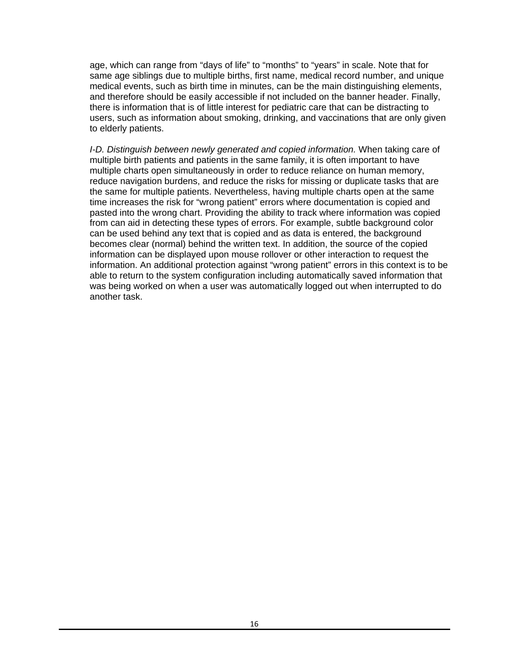age, which can range from "days of life" to "months" to "years" in scale. Note that for same age siblings due to multiple births, first name, medical record number, and unique medical events, such as birth time in minutes, can be the main distinguishing elements, and therefore should be easily accessible if not included on the banner header. Finally, there is information that is of little interest for pediatric care that can be distracting to users, such as information about smoking, drinking, and vaccinations that are only given to elderly patients.

*I-D. Distinguish between newly generated and copied information.* When taking care of multiple birth patients and patients in the same family, it is often important to have multiple charts open simultaneously in order to reduce reliance on human memory, reduce navigation burdens, and reduce the risks for missing or duplicate tasks that are the same for multiple patients. Nevertheless, having multiple charts open at the same time increases the risk for "wrong patient" errors where documentation is copied and pasted into the wrong chart. Providing the ability to track where information was copied from can aid in detecting these types of errors. For example, subtle background color can be used behind any text that is copied and as data is entered, the background becomes clear (normal) behind the written text. In addition, the source of the copied information can be displayed upon mouse rollover or other interaction to request the information. An additional protection against "wrong patient" errors in this context is to be able to return to the system configuration including automatically saved information that was being worked on when a user was automatically logged out when interrupted to do another task.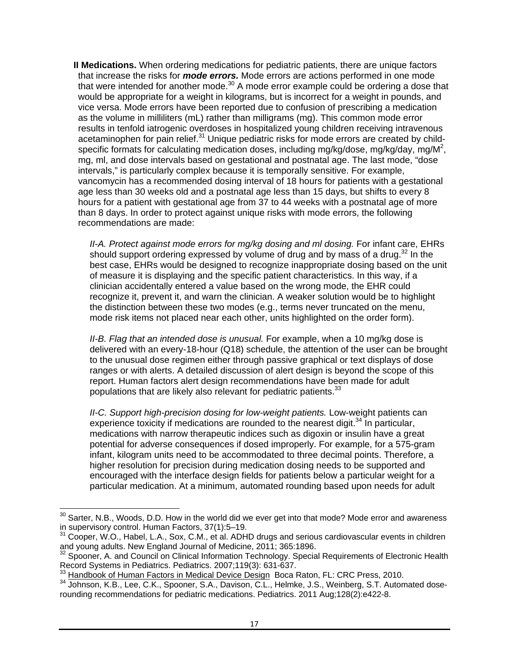**II Medications.** When ordering medications for pediatric patients, there are unique factors that increase the risks for *mode errors.* Mode errors are actions performed in one mode that were intended for another mode.<sup>30</sup> A mode error example could be ordering a dose that would be appropriate for a weight in kilograms, but is incorrect for a weight in pounds, and vice versa. Mode errors have been reported due to confusion of prescribing a medication as the volume in milliliters (mL) rather than milligrams (mg). This common mode error results in tenfold iatrogenic overdoses in hospitalized young children receiving intravenous acetaminophen for pain relief.<sup>31</sup> Unique pediatric risks for mode errors are created by childspecific formats for calculating medication doses, including mg/kg/dose, mg/kg/day, mg/M<sup>2</sup>, mg, ml, and dose intervals based on gestational and postnatal age. The last mode, "dose intervals," is particularly complex because it is temporally sensitive. For example, vancomycin has a recommended dosing interval of 18 hours for patients with a gestational age less than 30 weeks old and a postnatal age less than 15 days, but shifts to every 8 hours for a patient with gestational age from 37 to 44 weeks with a postnatal age of more than 8 days. In order to protect against unique risks with mode errors, the following recommendations are made:

*II-A. Protect against mode errors for mg/kg dosing and ml dosing.* For infant care, EHRs should support ordering expressed by volume of drug and by mass of a drug.<sup>32</sup> In the best case, EHRs would be designed to recognize inappropriate dosing based on the unit of measure it is displaying and the specific patient characteristics. In this way, if a clinician accidentally entered a value based on the wrong mode, the EHR could recognize it, prevent it, and warn the clinician. A weaker solution would be to highlight the distinction between these two modes (e.g., terms never truncated on the menu, mode risk items not placed near each other, units highlighted on the order form).

*II-B. Flag that an intended dose is unusual.* For example, when a 10 mg/kg dose is delivered with an every-18-hour (Q18) schedule, the attention of the user can be brought to the unusual dose regimen either through passive graphical or text displays of dose ranges or with alerts. A detailed discussion of alert design is beyond the scope of this report. Human factors alert design recommendations have been made for adult populations that are likely also relevant for pediatric patients.<sup>33</sup>

*II-C. Support high-precision dosing for low-weight patients.* Low-weight patients can experience toxicity if medications are rounded to the nearest digit.<sup>34</sup> In particular, medications with narrow therapeutic indices such as digoxin or insulin have a great potential for adverse consequences if dosed improperly. For example, for a 575-gram infant, kilogram units need to be accommodated to three decimal points. Therefore, a higher resolution for precision during medication dosing needs to be supported and encouraged with the interface design fields for patients below a particular weight for a particular medication. At a minimum, automated rounding based upon needs for adult

  $30$  Sarter, N.B., Woods, D.D. How in the world did we ever get into that mode? Mode error and awareness in supervisory control. Human Factors, 37(1):5–19.<br><sup>31</sup> Cooper, W.O., Habel, L.A., Sox, C.M., et al. ADHD drugs and serious cardiovascular events in children

and young adults. New England Journal of Medicine, 2011; 365:1896.

<sup>&</sup>lt;sup>32</sup> Spooner, A. and Council on Clinical Information Technology. Special Requirements of Electronic Health Record Systems in Pediatrics. Pediatrics. 2007;119(3): 631-637.

<sup>&</sup>lt;sup>33</sup> Handbook of Human Factors in Medical Device Design Boca Raton, FL: CRC Press, 2010.<br><sup>34</sup> Johnson, K.B., Lee, C.K., Spooner, S.A., Davison, C.L., Helmke, J.S., Weinberg, S.T. Automated doserounding recommendations for pediatric medications. Pediatrics. 2011 Aug;128(2):e422-8.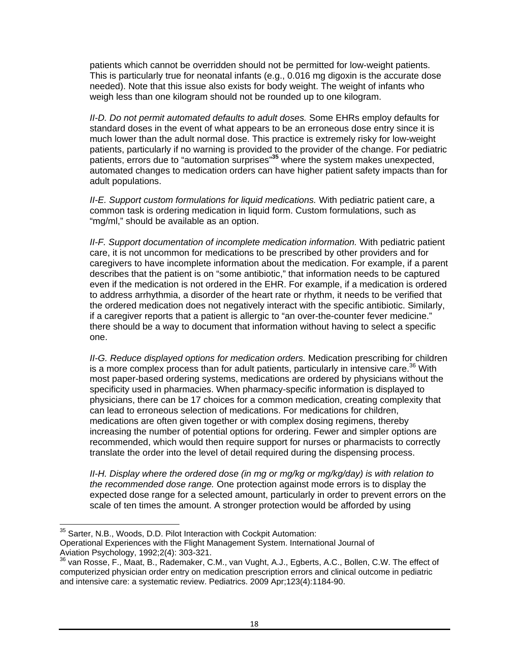patients which cannot be overridden should not be permitted for low-weight patients. This is particularly true for neonatal infants (e.g., 0.016 mg digoxin is the accurate dose needed). Note that this issue also exists for body weight. The weight of infants who weigh less than one kilogram should not be rounded up to one kilogram.

*II-D. Do not permit automated defaults to adult doses.* Some EHRs employ defaults for standard doses in the event of what appears to be an erroneous dose entry since it is much lower than the adult normal dose. This practice is extremely risky for low-weight patients, particularly if no warning is provided to the provider of the change. For pediatric patients, errors due to "automation surprises"**<sup>35</sup>** where the system makes unexpected, automated changes to medication orders can have higher patient safety impacts than for adult populations.

*II-E. Support custom formulations for liquid medications.* With pediatric patient care, a common task is ordering medication in liquid form. Custom formulations, such as "mg/ml," should be available as an option.

*II-F. Support documentation of incomplete medication information.* With pediatric patient care, it is not uncommon for medications to be prescribed by other providers and for caregivers to have incomplete information about the medication. For example, if a parent describes that the patient is on "some antibiotic," that information needs to be captured even if the medication is not ordered in the EHR. For example, if a medication is ordered to address arrhythmia, a disorder of the heart rate or rhythm, it needs to be verified that the ordered medication does not negatively interact with the specific antibiotic. Similarly, if a caregiver reports that a patient is allergic to "an over-the-counter fever medicine." there should be a way to document that information without having to select a specific one.

*II-G. Reduce displayed options for medication orders.* Medication prescribing for children is a more complex process than for adult patients, particularly in intensive care. $^{36}$  With most paper-based ordering systems, medications are ordered by physicians without the specificity used in pharmacies. When pharmacy-specific information is displayed to physicians, there can be 17 choices for a common medication, creating complexity that can lead to erroneous selection of medications. For medications for children, medications are often given together or with complex dosing regimens, thereby increasing the number of potential options for ordering. Fewer and simpler options are recommended, which would then require support for nurses or pharmacists to correctly translate the order into the level of detail required during the dispensing process.

*II-H. Display where the ordered dose (in mg or mg/kg or mg/kg/day) is with relation to the recommended dose range.* One protection against mode errors is to display the expected dose range for a selected amount, particularly in order to prevent errors on the scale of ten times the amount. A stronger protection would be afforded by using

  $35$  Sarter, N.B., Woods, D.D. Pilot Interaction with Cockpit Automation:

Operational Experiences with the Flight Management System. International Journal of Aviation Psychology, 1992;2(4): 303-321.

<sup>36</sup> van Rosse, F., Maat, B., Rademaker, C.M., van Vught, A.J., Egberts, A.C., Bollen, C.W. The effect of computerized physician order entry on medication prescription errors and clinical outcome in pediatric and intensive care: a systematic review. Pediatrics. 2009 Apr;123(4):1184-90.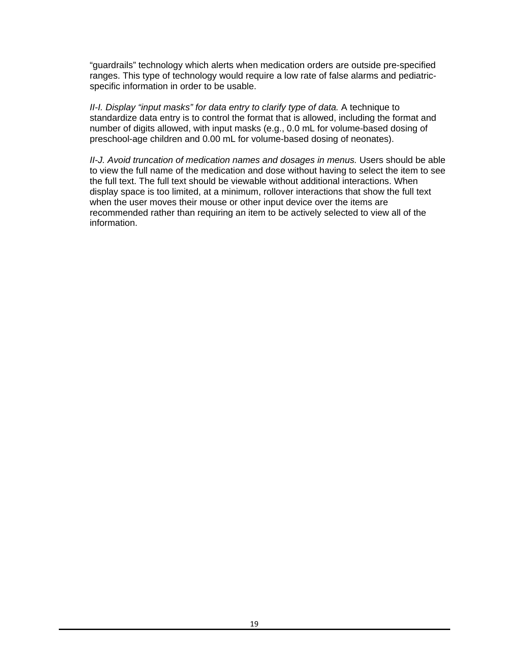"guardrails" technology which alerts when medication orders are outside pre-specified ranges. This type of technology would require a low rate of false alarms and pediatricspecific information in order to be usable.

*II-I. Display "input masks" for data entry to clarify type of data.* A technique to standardize data entry is to control the format that is allowed, including the format and number of digits allowed, with input masks (e.g., 0.0 mL for volume-based dosing of preschool-age children and 0.00 mL for volume-based dosing of neonates).

*II-J. Avoid truncation of medication names and dosages in menus.* Users should be able to view the full name of the medication and dose without having to select the item to see the full text. The full text should be viewable without additional interactions. When display space is too limited, at a minimum, rollover interactions that show the full text when the user moves their mouse or other input device over the items are recommended rather than requiring an item to be actively selected to view all of the information.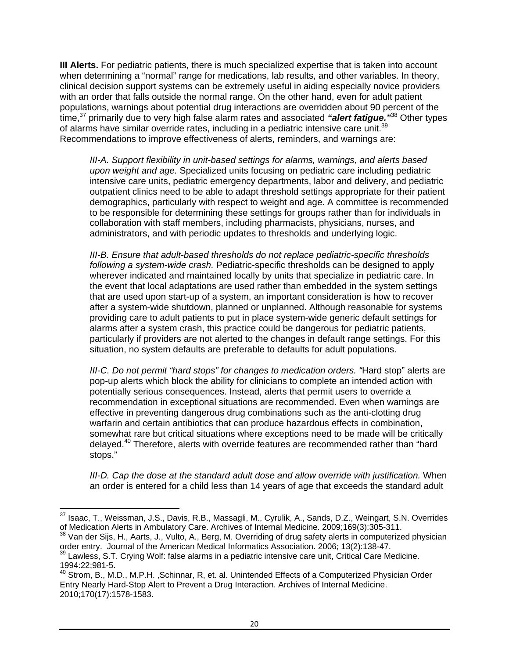**III Alerts.** For pediatric patients, there is much specialized expertise that is taken into account when determining a "normal" range for medications, lab results, and other variables. In theory, clinical decision support systems can be extremely useful in aiding especially novice providers with an order that falls outside the normal range. On the other hand, even for adult patient populations, warnings about potential drug interactions are overridden about 90 percent of the time,37 primarily due to very high false alarm rates and associated *"alert fatigue."*38 Other types of alarms have similar override rates, including in a pediatric intensive care unit.<sup>39</sup> Recommendations to improve effectiveness of alerts, reminders, and warnings are:

*III-A. Support flexibility in unit-based settings for alarms, warnings, and alerts based upon weight and age.* Specialized units focusing on pediatric care including pediatric intensive care units, pediatric emergency departments, labor and delivery, and pediatric outpatient clinics need to be able to adapt threshold settings appropriate for their patient demographics, particularly with respect to weight and age. A committee is recommended to be responsible for determining these settings for groups rather than for individuals in collaboration with staff members, including pharmacists, physicians, nurses, and administrators, and with periodic updates to thresholds and underlying logic.

*III-B. Ensure that adult-based thresholds do not replace pediatric-specific thresholds following a system-wide crash.* Pediatric-specific thresholds can be designed to apply wherever indicated and maintained locally by units that specialize in pediatric care. In the event that local adaptations are used rather than embedded in the system settings that are used upon start-up of a system, an important consideration is how to recover after a system-wide shutdown, planned or unplanned. Although reasonable for systems providing care to adult patients to put in place system-wide generic default settings for alarms after a system crash, this practice could be dangerous for pediatric patients, particularly if providers are not alerted to the changes in default range settings. For this situation, no system defaults are preferable to defaults for adult populations.

*III-C. Do not permit "hard stops" for changes to medication orders. "*Hard stop" alerts are pop-up alerts which block the ability for clinicians to complete an intended action with potentially serious consequences. Instead, alerts that permit users to override a recommendation in exceptional situations are recommended. Even when warnings are effective in preventing dangerous drug combinations such as the anti-clotting drug warfarin and certain antibiotics that can produce hazardous effects in combination, somewhat rare but critical situations where exceptions need to be made will be critically delayed.<sup>40</sup> Therefore, alerts with override features are recommended rather than "hard stops."

*III-D. Cap the dose at the standard adult dose and allow override with justification.* When an order is entered for a child less than 14 years of age that exceeds the standard adult

 $37$  Isaac, T., Weissman, J.S., Davis, R.B., Massagli, M., Cyrulik, A., Sands, D.Z., Weingart, S.N. Overrides

of Medication Alerts in Ambulatory Care. Archives of Internal Medicine. 2009;169(3):305-311.<br><sup>38</sup> Van der Sijs, H., Aarts, J., Vulto, A., Berg, M. Overriding of drug safety alerts in computerized physician<br>order entry. Jou

order entry. Journal of the Medical Information Medical Information. 2006; 130-47. 39 Lawless, S.T. Crying Wolf: false alarms in a pediatric intensive care unit, Critical Care Medicine. 1994:22;981-5.

<sup>&</sup>lt;sup>40</sup> Strom, B., M.D., M.P.H., Schinnar, R, et. al. Unintended Effects of a Computerized Physician Order Entry Nearly Hard-Stop Alert to Prevent a Drug Interaction. Archives of Internal Medicine. 2010;170(17):1578-1583.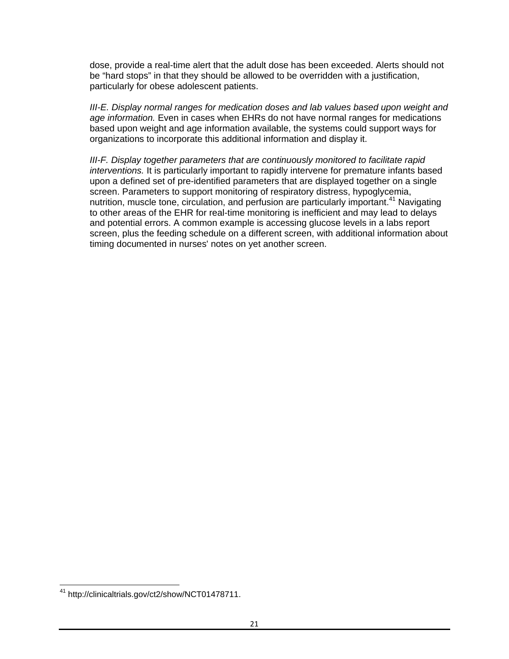dose, provide a real-time alert that the adult dose has been exceeded. Alerts should not be "hard stops" in that they should be allowed to be overridden with a justification, particularly for obese adolescent patients.

*III-E. Display normal ranges for medication doses and lab values based upon weight and age information.* Even in cases when EHRs do not have normal ranges for medications based upon weight and age information available, the systems could support ways for organizations to incorporate this additional information and display it.

*III-F. Display together parameters that are continuously monitored to facilitate rapid interventions.* It is particularly important to rapidly intervene for premature infants based upon a defined set of pre-identified parameters that are displayed together on a single screen. Parameters to support monitoring of respiratory distress, hypoglycemia, nutrition, muscle tone, circulation, and perfusion are particularly important.<sup>41</sup> Navigating to other areas of the EHR for real-time monitoring is inefficient and may lead to delays and potential errors. A common example is accessing glucose levels in a labs report screen, plus the feeding schedule on a different screen, with additional information about timing documented in nurses' notes on yet another screen.

 <sup>41</sup> http://clinicaltrials.gov/ct2/show/NCT01478711.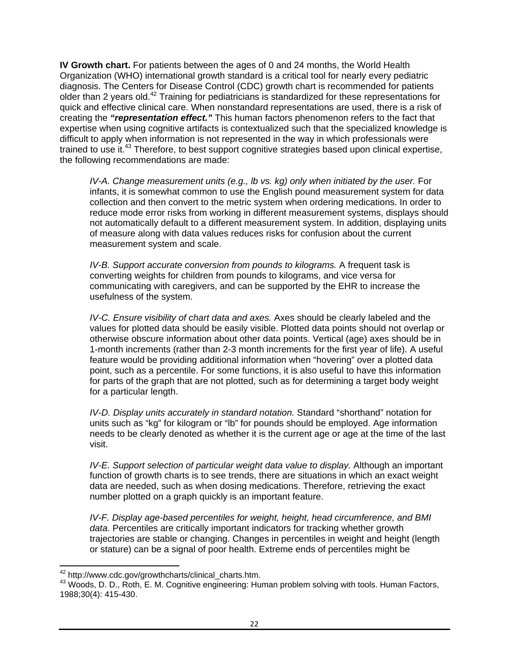**IV Growth chart.** For patients between the ages of 0 and 24 months, the World Health Organization (WHO) international growth standard is a critical tool for nearly every pediatric diagnosis. The Centers for Disease Control (CDC) growth chart is recommended for patients older than 2 years old.42 Training for pediatricians is standardized for these representations for quick and effective clinical care. When nonstandard representations are used, there is a risk of creating the *"representation effect."* This human factors phenomenon refers to the fact that expertise when using cognitive artifacts is contextualized such that the specialized knowledge is difficult to apply when information is not represented in the way in which professionals were trained to use it.<sup>43</sup> Therefore, to best support cognitive strategies based upon clinical expertise, the following recommendations are made:

*IV-A. Change measurement units (e.g., lb vs. kg) only when initiated by the user.* For infants, it is somewhat common to use the English pound measurement system for data collection and then convert to the metric system when ordering medications. In order to reduce mode error risks from working in different measurement systems, displays should not automatically default to a different measurement system. In addition, displaying units of measure along with data values reduces risks for confusion about the current measurement system and scale.

*IV-B. Support accurate conversion from pounds to kilograms.* A frequent task is converting weights for children from pounds to kilograms, and vice versa for communicating with caregivers, and can be supported by the EHR to increase the usefulness of the system.

*IV-C. Ensure visibility of chart data and axes.* Axes should be clearly labeled and the values for plotted data should be easily visible. Plotted data points should not overlap or otherwise obscure information about other data points. Vertical (age) axes should be in 1-month increments (rather than 2-3 month increments for the first year of life). A useful feature would be providing additional information when "hovering" over a plotted data point, such as a percentile. For some functions, it is also useful to have this information for parts of the graph that are not plotted, such as for determining a target body weight for a particular length.

*IV-D. Display units accurately in standard notation.* Standard "shorthand" notation for units such as "kg" for kilogram or "lb" for pounds should be employed. Age information needs to be clearly denoted as whether it is the current age or age at the time of the last visit.

*IV-E. Support selection of particular weight data value to display.* Although an important function of growth charts is to see trends, there are situations in which an exact weight data are needed, such as when dosing medications. Therefore, retrieving the exact number plotted on a graph quickly is an important feature.

*IV-F. Display age-based percentiles for weight, height, head circumference, and BMI data.* Percentiles are critically important indicators for tracking whether growth trajectories are stable or changing. Changes in percentiles in weight and height (length or stature) can be a signal of poor health. Extreme ends of percentiles might be

<sup>&</sup>lt;sup>42</sup> http://www.cdc.gov/growthcharts/clinical\_charts.htm.

<sup>43</sup> Woods, D. D., Roth, E. M. Cognitive engineering: Human problem solving with tools. Human Factors, 1988;30(4): 415-430.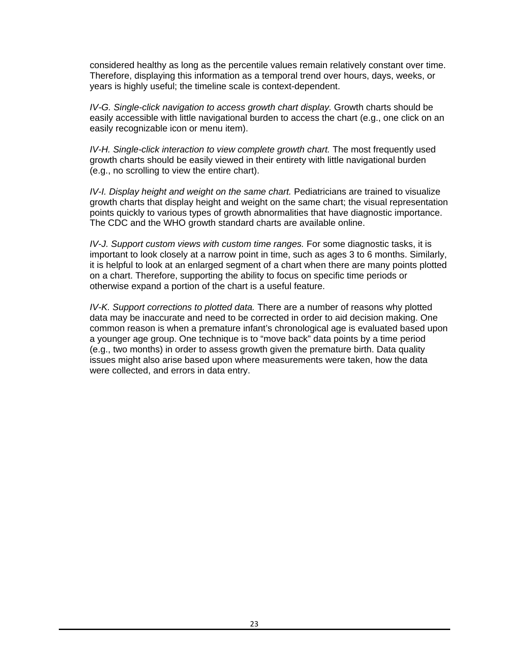considered healthy as long as the percentile values remain relatively constant over time. Therefore, displaying this information as a temporal trend over hours, days, weeks, or years is highly useful; the timeline scale is context-dependent.

*IV-G. Single-click navigation to access growth chart display.* Growth charts should be easily accessible with little navigational burden to access the chart (e.g., one click on an easily recognizable icon or menu item).

*IV-H. Single-click interaction to view complete growth chart.* The most frequently used growth charts should be easily viewed in their entirety with little navigational burden (e.g., no scrolling to view the entire chart).

*IV-I. Display height and weight on the same chart. Pediatricians are trained to visualize* growth charts that display height and weight on the same chart; the visual representation points quickly to various types of growth abnormalities that have diagnostic importance. The CDC and the WHO growth standard charts are available online.

*IV-J. Support custom views with custom time ranges.* For some diagnostic tasks, it is important to look closely at a narrow point in time, such as ages 3 to 6 months. Similarly, it is helpful to look at an enlarged segment of a chart when there are many points plotted on a chart. Therefore, supporting the ability to focus on specific time periods or otherwise expand a portion of the chart is a useful feature.

*IV-K. Support corrections to plotted data.* There are a number of reasons why plotted data may be inaccurate and need to be corrected in order to aid decision making. One common reason is when a premature infant's chronological age is evaluated based upon a younger age group. One technique is to "move back" data points by a time period (e.g., two months) in order to assess growth given the premature birth. Data quality issues might also arise based upon where measurements were taken, how the data were collected, and errors in data entry.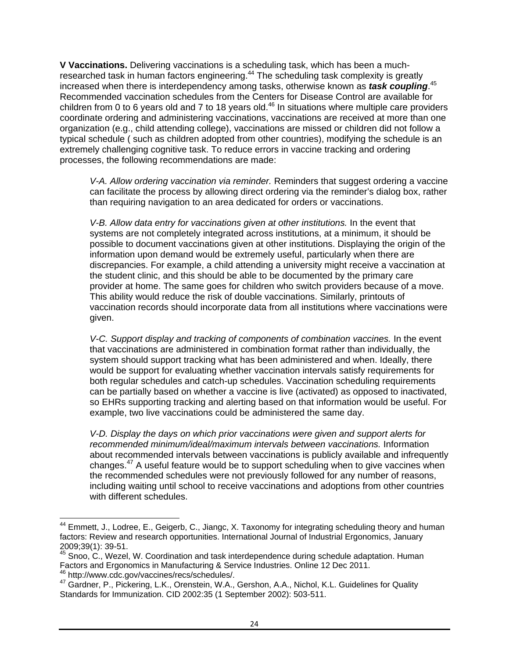**V Vaccinations.** Delivering vaccinations is a scheduling task, which has been a muchresearched task in human factors engineering.<sup>44</sup> The scheduling task complexity is greatly increased when there is interdependency among tasks, otherwise known as *task coupling*. 45 Recommended vaccination schedules from the Centers for Disease Control are available for children from 0 to 6 years old and 7 to 18 years old.<sup>46</sup> In situations where multiple care providers coordinate ordering and administering vaccinations, vaccinations are received at more than one organization (e.g., child attending college), vaccinations are missed or children did not follow a typical schedule ( such as children adopted from other countries), modifying the schedule is an extremely challenging cognitive task. To reduce errors in vaccine tracking and ordering processes, the following recommendations are made:

*V-A. Allow ordering vaccination via reminder.* Reminders that suggest ordering a vaccine can facilitate the process by allowing direct ordering via the reminder's dialog box, rather than requiring navigation to an area dedicated for orders or vaccinations.

*V-B. Allow data entry for vaccinations given at other institutions.* In the event that systems are not completely integrated across institutions, at a minimum, it should be possible to document vaccinations given at other institutions. Displaying the origin of the information upon demand would be extremely useful, particularly when there are discrepancies. For example, a child attending a university might receive a vaccination at the student clinic, and this should be able to be documented by the primary care provider at home. The same goes for children who switch providers because of a move. This ability would reduce the risk of double vaccinations. Similarly, printouts of vaccination records should incorporate data from all institutions where vaccinations were given.

*V-C. Support display and tracking of components of combination vaccines.* In the event that vaccinations are administered in combination format rather than individually, the system should support tracking what has been administered and when. Ideally, there would be support for evaluating whether vaccination intervals satisfy requirements for both regular schedules and catch-up schedules. Vaccination scheduling requirements can be partially based on whether a vaccine is live (activated) as opposed to inactivated, so EHRs supporting tracking and alerting based on that information would be useful. For example, two live vaccinations could be administered the same day.

*V-D. Display the days on which prior vaccinations were given and support alerts for recommended minimum/ideal/maximum intervals between vaccinations.* Information about recommended intervals between vaccinations is publicly available and infrequently changes. $^{47}$  A useful feature would be to support scheduling when to give vaccines when the recommended schedules were not previously followed for any number of reasons, including waiting until school to receive vaccinations and adoptions from other countries with different schedules.

<sup>&</sup>lt;u> Alexandria de la contrada de la contrada de la contrada de la contrada de la contrada de la contrada de la c</u>  $44$  Emmett, J., Lodree, E., Geigerb, C., Jiangc, X. Taxonomy for integrating scheduling theory and human factors: Review and research opportunities. International Journal of Industrial Ergonomics, January 2009;39(1): 39-51.

<sup>45</sup> Snoo, C., Wezel, W. Coordination and task interdependence during schedule adaptation. Human Factors and Ergonomics in Manufacturing & Service Industries. Online 12 Dec 2011.<br><sup>46</sup> http://www.cdc.gov/vaccines/recs/schedules/.

<sup>47</sup> Gardner, P., Pickering, L.K., Orenstein, W.A., Gershon, A.A., Nichol, K.L. Guidelines for Quality Standards for Immunization. CID 2002:35 (1 September 2002): 503-511.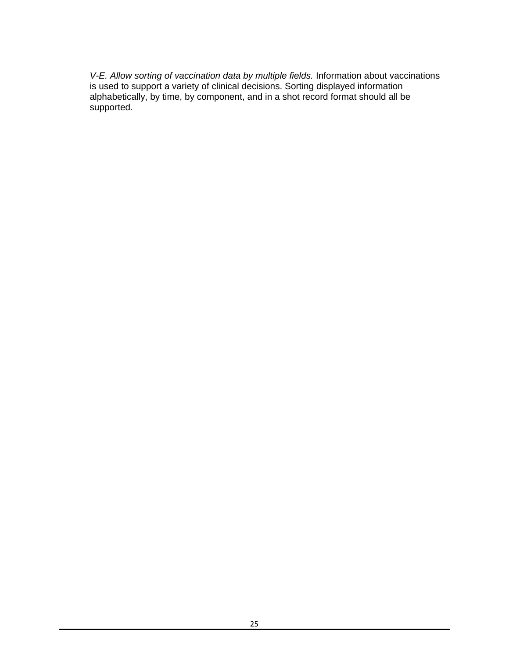*V-E. Allow sorting of vaccination data by multiple fields.* Information about vaccinations is used to support a variety of clinical decisions. Sorting displayed information alphabetically, by time, by component, and in a shot record format should all be supported.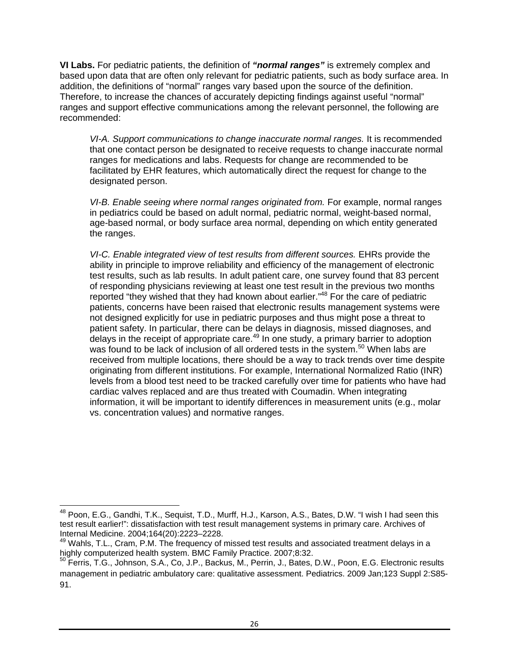**VI Labs.** For pediatric patients, the definition of *"normal ranges"* is extremely complex and based upon data that are often only relevant for pediatric patients, such as body surface area. In addition, the definitions of "normal" ranges vary based upon the source of the definition. Therefore, to increase the chances of accurately depicting findings against useful "normal" ranges and support effective communications among the relevant personnel, the following are recommended:

*VI-A. Support communications to change inaccurate normal ranges.* It is recommended that one contact person be designated to receive requests to change inaccurate normal ranges for medications and labs. Requests for change are recommended to be facilitated by EHR features, which automatically direct the request for change to the designated person.

*VI-B. Enable seeing where normal ranges originated from.* For example, normal ranges in pediatrics could be based on adult normal, pediatric normal, weight-based normal, age-based normal, or body surface area normal, depending on which entity generated the ranges.

*VI-C. Enable integrated view of test results from different sources.* EHRs provide the ability in principle to improve reliability and efficiency of the management of electronic test results, such as lab results. In adult patient care, one survey found that 83 percent of responding physicians reviewing at least one test result in the previous two months reported "they wished that they had known about earlier."48 For the care of pediatric patients, concerns have been raised that electronic results management systems were not designed explicitly for use in pediatric purposes and thus might pose a threat to patient safety. In particular, there can be delays in diagnosis, missed diagnoses, and delays in the receipt of appropriate care.<sup>49</sup> In one study, a primary barrier to adoption was found to be lack of inclusion of all ordered tests in the system.<sup>50</sup> When labs are received from multiple locations, there should be a way to track trends over time despite originating from different institutions. For example, International Normalized Ratio (INR) levels from a blood test need to be tracked carefully over time for patients who have had cardiac valves replaced and are thus treated with Coumadin. When integrating information, it will be important to identify differences in measurement units (e.g., molar vs. concentration values) and normative ranges.

 <sup>48</sup> Poon, E.G., Gandhi, T.K., Sequist, T.D., Murff, H.J., Karson, A.S., Bates, D.W. "I wish I had seen this test result earlier!": dissatisfaction with test result management systems in primary care. Archives of Internal Medicine. 2004;164(20):2223–2228.

<sup>&</sup>lt;sup>49</sup> Wahls, T.L., Cram, P.M. The frequency of missed test results and associated treatment delays in a highly computerized health system. BMC Family Practice. 2007;8:32.

Ferris, T.G., Johnson, S.A., Co, J.P., Backus, M., Perrin, J., Bates, D.W., Poon, E.G. Electronic results management in pediatric ambulatory care: qualitative assessment. Pediatrics. 2009 Jan;123 Suppl 2:S85- 91.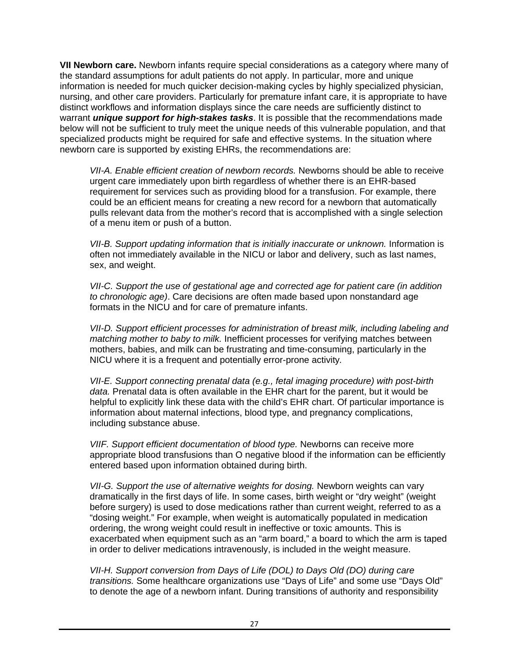**VII Newborn care.** Newborn infants require special considerations as a category where many of the standard assumptions for adult patients do not apply. In particular, more and unique information is needed for much quicker decision-making cycles by highly specialized physician, nursing, and other care providers. Particularly for premature infant care, it is appropriate to have distinct workflows and information displays since the care needs are sufficiently distinct to warrant *unique support for high-stakes tasks*. It is possible that the recommendations made below will not be sufficient to truly meet the unique needs of this vulnerable population, and that specialized products might be required for safe and effective systems. In the situation where newborn care is supported by existing EHRs, the recommendations are:

*VII-A. Enable efficient creation of newborn records.* Newborns should be able to receive urgent care immediately upon birth regardless of whether there is an EHR-based requirement for services such as providing blood for a transfusion. For example, there could be an efficient means for creating a new record for a newborn that automatically pulls relevant data from the mother's record that is accomplished with a single selection of a menu item or push of a button.

*VII-B. Support updating information that is initially inaccurate or unknown.* Information is often not immediately available in the NICU or labor and delivery, such as last names, sex, and weight.

*VII-C. Support the use of gestational age and corrected age for patient care (in addition to chronologic age)*. Care decisions are often made based upon nonstandard age formats in the NICU and for care of premature infants.

*VII-D. Support efficient processes for administration of breast milk, including labeling and matching mother to baby to milk.* Inefficient processes for verifying matches between mothers, babies, and milk can be frustrating and time-consuming, particularly in the NICU where it is a frequent and potentially error-prone activity*.* 

*VII-E. Support connecting prenatal data (e.g., fetal imaging procedure) with post-birth data.* Prenatal data is often available in the EHR chart for the parent, but it would be helpful to explicitly link these data with the child's EHR chart. Of particular importance is information about maternal infections, blood type, and pregnancy complications, including substance abuse.

*VIIF. Support efficient documentation of blood type.* Newborns can receive more appropriate blood transfusions than O negative blood if the information can be efficiently entered based upon information obtained during birth.

*VII-G. Support the use of alternative weights for dosing.* Newborn weights can vary dramatically in the first days of life. In some cases, birth weight or "dry weight" (weight before surgery) is used to dose medications rather than current weight, referred to as a "dosing weight." For example, when weight is automatically populated in medication ordering, the wrong weight could result in ineffective or toxic amounts. This is exacerbated when equipment such as an "arm board," a board to which the arm is taped in order to deliver medications intravenously, is included in the weight measure.

*VII-H. Support conversion from Days of Life (DOL) to Days Old (DO) during care transitions.* Some healthcare organizations use "Days of Life" and some use "Days Old" to denote the age of a newborn infant. During transitions of authority and responsibility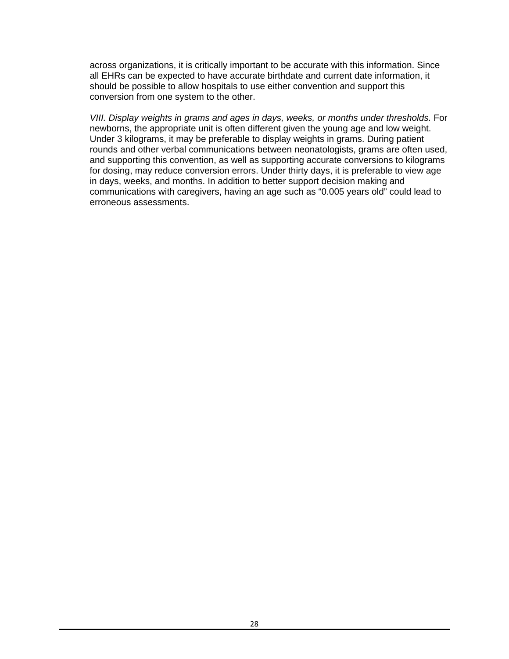across organizations, it is critically important to be accurate with this information. Since all EHRs can be expected to have accurate birthdate and current date information, it should be possible to allow hospitals to use either convention and support this conversion from one system to the other.

*VIII. Display weights in grams and ages in days, weeks, or months under thresholds.* For newborns, the appropriate unit is often different given the young age and low weight. Under 3 kilograms, it may be preferable to display weights in grams. During patient rounds and other verbal communications between neonatologists, grams are often used, and supporting this convention, as well as supporting accurate conversions to kilograms for dosing, may reduce conversion errors. Under thirty days, it is preferable to view age in days, weeks, and months. In addition to better support decision making and communications with caregivers, having an age such as "0.005 years old" could lead to erroneous assessments.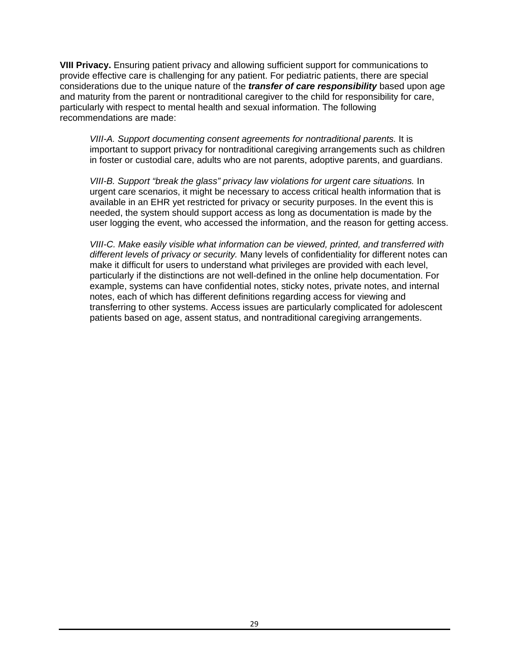**VIII Privacy.** Ensuring patient privacy and allowing sufficient support for communications to provide effective care is challenging for any patient. For pediatric patients, there are special considerations due to the unique nature of the *transfer of care responsibility* based upon age and maturity from the parent or nontraditional caregiver to the child for responsibility for care, particularly with respect to mental health and sexual information. The following recommendations are made:

*VIII-A. Support documenting consent agreements for nontraditional parents.* It is important to support privacy for nontraditional caregiving arrangements such as children in foster or custodial care, adults who are not parents, adoptive parents, and guardians.

*VIII-B. Support "break the glass" privacy law violations for urgent care situations.* In urgent care scenarios, it might be necessary to access critical health information that is available in an EHR yet restricted for privacy or security purposes. In the event this is needed, the system should support access as long as documentation is made by the user logging the event, who accessed the information, and the reason for getting access.

*VIII-C. Make easily visible what information can be viewed, printed, and transferred with different levels of privacy or security.* Many levels of confidentiality for different notes can make it difficult for users to understand what privileges are provided with each level, particularly if the distinctions are not well-defined in the online help documentation. For example, systems can have confidential notes, sticky notes, private notes, and internal notes, each of which has different definitions regarding access for viewing and transferring to other systems. Access issues are particularly complicated for adolescent patients based on age, assent status, and nontraditional caregiving arrangements.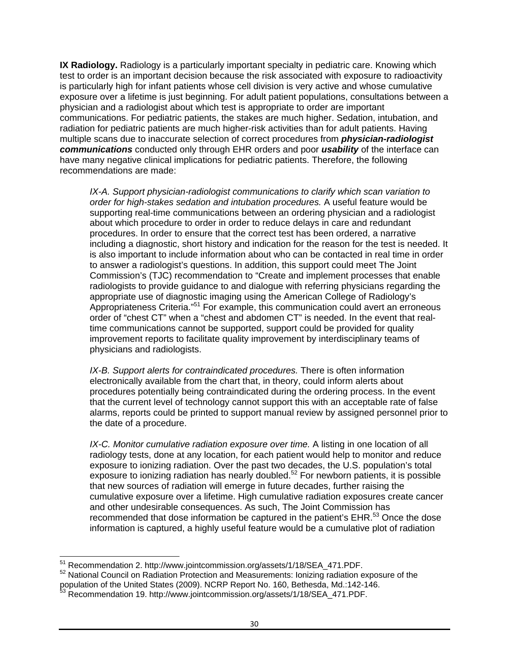**IX Radiology.** Radiology is a particularly important specialty in pediatric care. Knowing which test to order is an important decision because the risk associated with exposure to radioactivity is particularly high for infant patients whose cell division is very active and whose cumulative exposure over a lifetime is just beginning. For adult patient populations, consultations between a physician and a radiologist about which test is appropriate to order are important communications. For pediatric patients, the stakes are much higher. Sedation, intubation, and radiation for pediatric patients are much higher-risk activities than for adult patients. Having multiple scans due to inaccurate selection of correct procedures from *physician-radiologist communications* conducted only through EHR orders and poor *usability* of the interface can have many negative clinical implications for pediatric patients. Therefore, the following recommendations are made:

*IX-A. Support physician-radiologist communications to clarify which scan variation to order for high-stakes sedation and intubation procedures.* A useful feature would be supporting real-time communications between an ordering physician and a radiologist about which procedure to order in order to reduce delays in care and redundant procedures. In order to ensure that the correct test has been ordered, a narrative including a diagnostic, short history and indication for the reason for the test is needed. It is also important to include information about who can be contacted in real time in order to answer a radiologist's questions. In addition, this support could meet The Joint Commission's (TJC) recommendation to "Create and implement processes that enable radiologists to provide guidance to and dialogue with referring physicians regarding the appropriate use of diagnostic imaging using the American College of Radiology's Appropriateness Criteria."<sup>51</sup> For example, this communication could avert an erroneous order of "chest CT" when a "chest and abdomen CT" is needed. In the event that realtime communications cannot be supported, support could be provided for quality improvement reports to facilitate quality improvement by interdisciplinary teams of physicians and radiologists.

*IX-B. Support alerts for contraindicated procedures.* There is often information electronically available from the chart that, in theory, could inform alerts about procedures potentially being contraindicated during the ordering process. In the event that the current level of technology cannot support this with an acceptable rate of false alarms, reports could be printed to support manual review by assigned personnel prior to the date of a procedure.

*IX-C. Monitor cumulative radiation exposure over time.* A listing in one location of all radiology tests, done at any location, for each patient would help to monitor and reduce exposure to ionizing radiation. Over the past two decades, the U.S. population's total exposure to ionizing radiation has nearly doubled.<sup>52</sup> For newborn patients, it is possible that new sources of radiation will emerge in future decades, further raising the cumulative exposure over a lifetime. High cumulative radiation exposures create cancer and other undesirable consequences. As such, The Joint Commission has recommended that dose information be captured in the patient's EHR.<sup>53</sup> Once the dose information is captured, a highly useful feature would be a cumulative plot of radiation

<sup>&</sup>lt;sup>51</sup> Recommendation 2. http://www.jointcommission.org/assets/1/18/SEA\_471.PDF.

 $52$  National Council on Radiation Protection and Measurements: Ionizing radiation exposure of the population of the United States (2009). NCRP Report No. 160, Bethesda, Md.:142-146.

<sup>53</sup> Recommendation 19. http://www.jointcommission.org/assets/1/18/SEA\_471.PDF.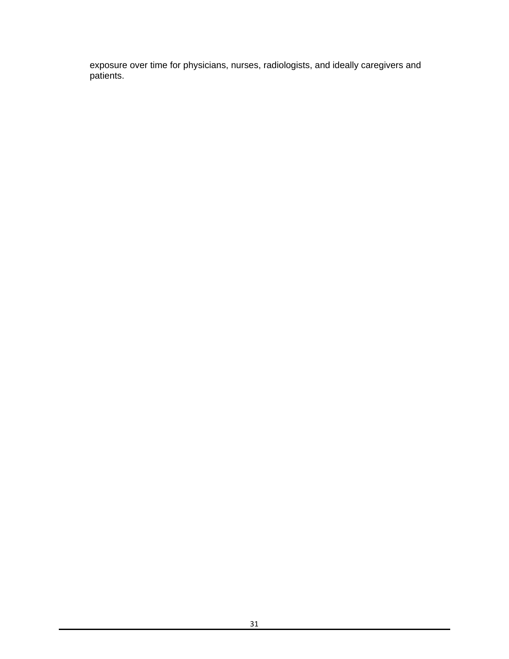exposure over time for physicians, nurses, radiologists, and ideally caregivers and patients.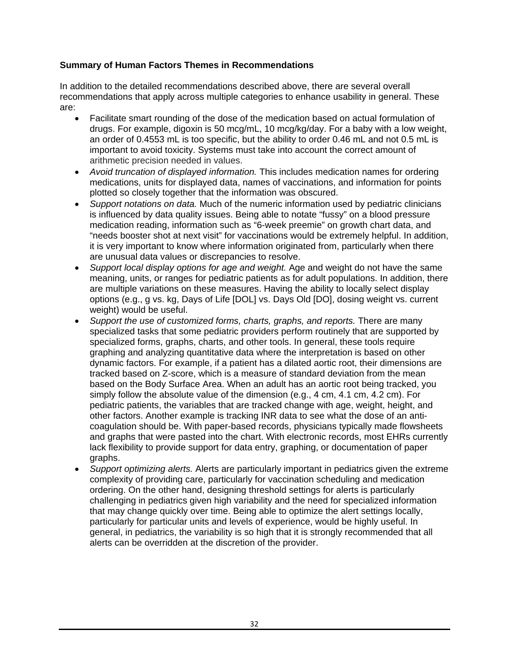#### **Summary of Human Factors Themes in Recommendations**

In addition to the detailed recommendations described above, there are several overall recommendations that apply across multiple categories to enhance usability in general. These are:

- Facilitate smart rounding of the dose of the medication based on actual formulation of drugs. For example, digoxin is 50 mcg/mL, 10 mcg/kg/day. For a baby with a low weight, an order of 0.4553 mL is too specific, but the ability to order 0.46 mL and not 0.5 mL is important to avoid toxicity. Systems must take into account the correct amount of arithmetic precision needed in values.
- *Avoid truncation of displayed information.* This includes medication names for ordering medications, units for displayed data, names of vaccinations, and information for points plotted so closely together that the information was obscured.
- *Support notations on data.* Much of the numeric information used by pediatric clinicians is influenced by data quality issues. Being able to notate "fussy" on a blood pressure medication reading, information such as "6-week preemie" on growth chart data, and "needs booster shot at next visit" for vaccinations would be extremely helpful. In addition, it is very important to know where information originated from, particularly when there are unusual data values or discrepancies to resolve.
- *Support local display options for age and weight.* Age and weight do not have the same meaning, units, or ranges for pediatric patients as for adult populations. In addition, there are multiple variations on these measures. Having the ability to locally select display options (e.g., g vs. kg, Days of Life [DOL] vs. Days Old [DO], dosing weight vs. current weight) would be useful.
- *Support the use of customized forms, charts, graphs, and reports.* There are many specialized tasks that some pediatric providers perform routinely that are supported by specialized forms, graphs, charts, and other tools. In general, these tools require graphing and analyzing quantitative data where the interpretation is based on other dynamic factors. For example, if a patient has a dilated aortic root, their dimensions are tracked based on Z-score, which is a measure of standard deviation from the mean based on the Body Surface Area. When an adult has an aortic root being tracked, you simply follow the absolute value of the dimension (e.g., 4 cm, 4.1 cm, 4.2 cm). For pediatric patients, the variables that are tracked change with age, weight, height, and other factors. Another example is tracking INR data to see what the dose of an anticoagulation should be. With paper-based records, physicians typically made flowsheets and graphs that were pasted into the chart. With electronic records, most EHRs currently lack flexibility to provide support for data entry, graphing, or documentation of paper graphs.
- *Support optimizing alerts.* Alerts are particularly important in pediatrics given the extreme complexity of providing care, particularly for vaccination scheduling and medication ordering. On the other hand, designing threshold settings for alerts is particularly challenging in pediatrics given high variability and the need for specialized information that may change quickly over time. Being able to optimize the alert settings locally, particularly for particular units and levels of experience, would be highly useful. In general, in pediatrics, the variability is so high that it is strongly recommended that all alerts can be overridden at the discretion of the provider.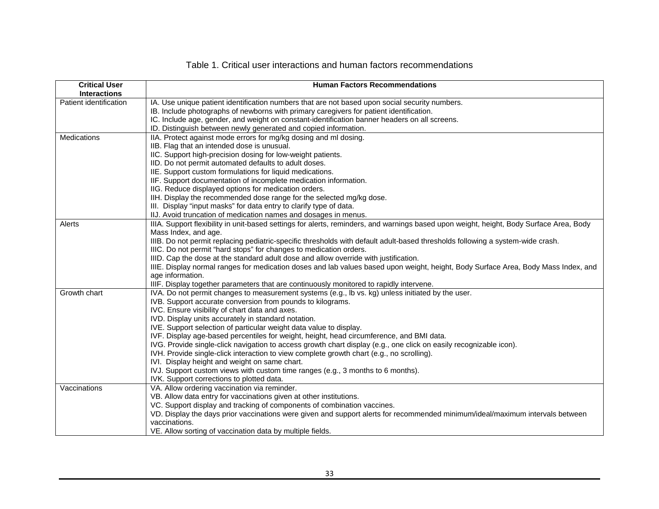#### Table 1. Critical user interactions and human factors recommendations

| <b>Critical User</b><br><b>Interactions</b> | <b>Human Factors Recommendations</b>                                                                                                    |
|---------------------------------------------|-----------------------------------------------------------------------------------------------------------------------------------------|
| Patient identification                      | IA. Use unique patient identification numbers that are not based upon social security numbers.                                          |
|                                             | IB. Include photographs of newborns with primary caregivers for patient identification.                                                 |
|                                             | IC. Include age, gender, and weight on constant-identification banner headers on all screens.                                           |
|                                             | ID. Distinguish between newly generated and copied information.                                                                         |
| Medications                                 | IIA. Protect against mode errors for mg/kg dosing and ml dosing.                                                                        |
|                                             | IIB. Flag that an intended dose is unusual.                                                                                             |
|                                             | IIC. Support high-precision dosing for low-weight patients.                                                                             |
|                                             | IID. Do not permit automated defaults to adult doses.                                                                                   |
|                                             | IIE. Support custom formulations for liquid medications.                                                                                |
|                                             | IIF. Support documentation of incomplete medication information.                                                                        |
|                                             | IIG. Reduce displayed options for medication orders.                                                                                    |
|                                             | IIH. Display the recommended dose range for the selected mg/kg dose.                                                                    |
|                                             | III. Display "input masks" for data entry to clarify type of data.                                                                      |
|                                             | IIJ. Avoid truncation of medication names and dosages in menus.                                                                         |
| Alerts                                      | IIIA. Support flexibility in unit-based settings for alerts, reminders, and warnings based upon weight, height, Body Surface Area, Body |
|                                             | Mass Index, and age.                                                                                                                    |
|                                             | IIIB. Do not permit replacing pediatric-specific thresholds with default adult-based thresholds following a system-wide crash.          |
|                                             | IIIC. Do not permit "hard stops" for changes to medication orders.                                                                      |
|                                             | IIID. Cap the dose at the standard adult dose and allow override with justification.                                                    |
|                                             | IIIE. Display normal ranges for medication doses and lab values based upon weight, height, Body Surface Area, Body Mass Index, and      |
|                                             | age information.                                                                                                                        |
|                                             | IIIF. Display together parameters that are continuously monitored to rapidly intervene.                                                 |
| Growth chart                                | IVA. Do not permit changes to measurement systems (e.g., lb vs. kg) unless initiated by the user.                                       |
|                                             | IVB. Support accurate conversion from pounds to kilograms.                                                                              |
|                                             | IVC. Ensure visibility of chart data and axes.                                                                                          |
|                                             | IVD. Display units accurately in standard notation.                                                                                     |
|                                             | IVE. Support selection of particular weight data value to display.                                                                      |
|                                             | IVF. Display age-based percentiles for weight, height, head circumference, and BMI data.                                                |
|                                             | IVG. Provide single-click navigation to access growth chart display (e.g., one click on easily recognizable icon).                      |
|                                             | IVH. Provide single-click interaction to view complete growth chart (e.g., no scrolling).                                               |
|                                             | IVI. Display height and weight on same chart.                                                                                           |
|                                             | IVJ. Support custom views with custom time ranges (e.g., 3 months to 6 months).                                                         |
|                                             | IVK. Support corrections to plotted data.                                                                                               |
| Vaccinations                                | VA. Allow ordering vaccination via reminder.                                                                                            |
|                                             | VB. Allow data entry for vaccinations given at other institutions.                                                                      |
|                                             | VC. Support display and tracking of components of combination vaccines.                                                                 |
|                                             | VD. Display the days prior vaccinations were given and support alerts for recommended minimum/ideal/maximum intervals between           |
|                                             | vaccinations.                                                                                                                           |
|                                             | VE. Allow sorting of vaccination data by multiple fields.                                                                               |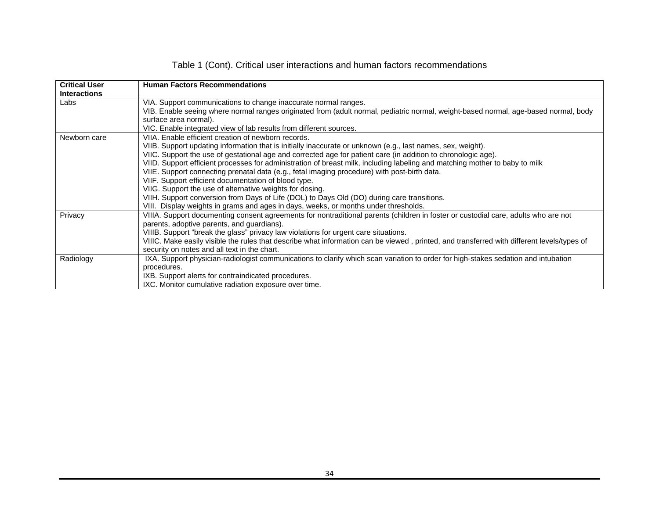| Table 1 (Cont). Critical user interactions and human factors recommendations |  |
|------------------------------------------------------------------------------|--|
|------------------------------------------------------------------------------|--|

| <b>Critical User</b> | <b>Human Factors Recommendations</b>                                                                                                       |
|----------------------|--------------------------------------------------------------------------------------------------------------------------------------------|
| <b>Interactions</b>  |                                                                                                                                            |
| Labs                 | VIA. Support communications to change inaccurate normal ranges.                                                                            |
|                      | VIB. Enable seeing where normal ranges originated from (adult normal, pediatric normal, weight-based normal, age-based normal, body        |
|                      | surface area normal).                                                                                                                      |
|                      | VIC. Enable integrated view of lab results from different sources.                                                                         |
| Newborn care         | VIIA. Enable efficient creation of newborn records.                                                                                        |
|                      | VIIB. Support updating information that is initially inaccurate or unknown (e.g., last names, sex, weight).                                |
|                      | VIIC. Support the use of gestational age and corrected age for patient care (in addition to chronologic age).                              |
|                      | VIID. Support efficient processes for administration of breast milk, including labeling and matching mother to baby to milk                |
|                      | VIIE. Support connecting prenatal data (e.g., fetal imaging procedure) with post-birth data.                                               |
|                      | VIIF. Support efficient documentation of blood type.                                                                                       |
|                      | VIIG. Support the use of alternative weights for dosing.                                                                                   |
|                      | VIIH. Support conversion from Days of Life (DOL) to Days Old (DO) during care transitions.                                                 |
|                      | VIII. Display weights in grams and ages in days, weeks, or months under thresholds.                                                        |
| Privacy              | VIIIA. Support documenting consent agreements for nontraditional parents (children in foster or custodial care, adults who are not         |
|                      | parents, adoptive parents, and guardians).                                                                                                 |
|                      | VIIIB. Support "break the glass" privacy law violations for urgent care situations.                                                        |
|                      | VIIIC. Make easily visible the rules that describe what information can be viewed, printed, and transferred with different levels/types of |
|                      | security on notes and all text in the chart.                                                                                               |
| Radiology            | IXA. Support physician-radiologist communications to clarify which scan variation to order for high-stakes sedation and intubation         |
|                      | procedures.                                                                                                                                |
|                      | IXB. Support alerts for contraindicated procedures.                                                                                        |
|                      | IXC. Monitor cumulative radiation exposure over time.                                                                                      |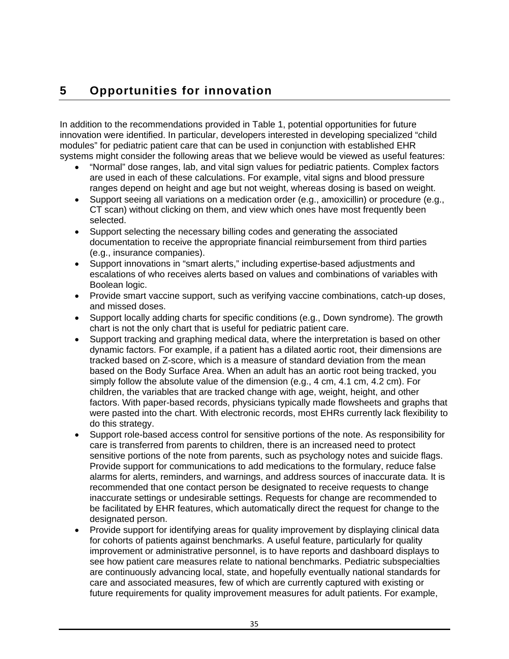### **5 Opportunities for innovation**

In addition to the recommendations provided in Table 1, potential opportunities for future innovation were identified. In particular, developers interested in developing specialized "child modules" for pediatric patient care that can be used in conjunction with established EHR systems might consider the following areas that we believe would be viewed as useful features:

- "Normal" dose ranges, lab, and vital sign values for pediatric patients. Complex factors are used in each of these calculations. For example, vital signs and blood pressure ranges depend on height and age but not weight, whereas dosing is based on weight.
- Support seeing all variations on a medication order (e.g., amoxicillin) or procedure (e.g., CT scan) without clicking on them, and view which ones have most frequently been selected.
- Support selecting the necessary billing codes and generating the associated documentation to receive the appropriate financial reimbursement from third parties (e.g., insurance companies).
- Support innovations in "smart alerts," including expertise-based adjustments and escalations of who receives alerts based on values and combinations of variables with Boolean logic.
- Provide smart vaccine support, such as verifying vaccine combinations, catch-up doses, and missed doses.
- Support locally adding charts for specific conditions (e.g., Down syndrome). The growth chart is not the only chart that is useful for pediatric patient care.
- Support tracking and graphing medical data, where the interpretation is based on other dynamic factors. For example, if a patient has a dilated aortic root, their dimensions are tracked based on Z-score, which is a measure of standard deviation from the mean based on the Body Surface Area. When an adult has an aortic root being tracked, you simply follow the absolute value of the dimension (e.g., 4 cm, 4.1 cm, 4.2 cm). For children, the variables that are tracked change with age, weight, height, and other factors. With paper-based records, physicians typically made flowsheets and graphs that were pasted into the chart. With electronic records, most EHRs currently lack flexibility to do this strategy.
- Support role-based access control for sensitive portions of the note. As responsibility for care is transferred from parents to children, there is an increased need to protect sensitive portions of the note from parents, such as psychology notes and suicide flags. Provide support for communications to add medications to the formulary, reduce false alarms for alerts, reminders, and warnings, and address sources of inaccurate data. It is recommended that one contact person be designated to receive requests to change inaccurate settings or undesirable settings. Requests for change are recommended to be facilitated by EHR features, which automatically direct the request for change to the designated person.
- Provide support for identifying areas for quality improvement by displaying clinical data for cohorts of patients against benchmarks. A useful feature, particularly for quality improvement or administrative personnel, is to have reports and dashboard displays to see how patient care measures relate to national benchmarks. Pediatric subspecialties are continuously advancing local, state, and hopefully eventually national standards for care and associated measures, few of which are currently captured with existing or future requirements for quality improvement measures for adult patients. For example,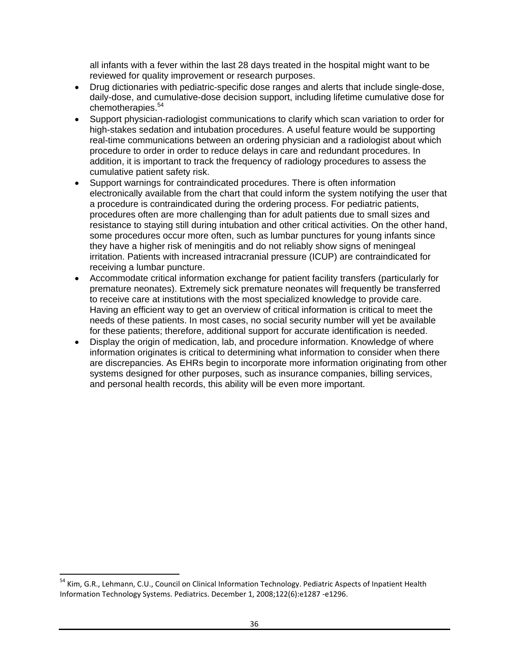all infants with a fever within the last 28 days treated in the hospital might want to be reviewed for quality improvement or research purposes.

- Drug dictionaries with pediatric-specific dose ranges and alerts that include single-dose, daily-dose, and cumulative-dose decision support, including lifetime cumulative dose for chemotherapies.54
- Support physician-radiologist communications to clarify which scan variation to order for high-stakes sedation and intubation procedures. A useful feature would be supporting real-time communications between an ordering physician and a radiologist about which procedure to order in order to reduce delays in care and redundant procedures. In addition, it is important to track the frequency of radiology procedures to assess the cumulative patient safety risk.
- Support warnings for contraindicated procedures. There is often information electronically available from the chart that could inform the system notifying the user that a procedure is contraindicated during the ordering process. For pediatric patients, procedures often are more challenging than for adult patients due to small sizes and resistance to staying still during intubation and other critical activities. On the other hand, some procedures occur more often, such as lumbar punctures for young infants since they have a higher risk of meningitis and do not reliably show signs of meningeal irritation. Patients with increased intracranial pressure (ICUP) are contraindicated for receiving a lumbar puncture.
- Accommodate critical information exchange for patient facility transfers (particularly for premature neonates). Extremely sick premature neonates will frequently be transferred to receive care at institutions with the most specialized knowledge to provide care. Having an efficient way to get an overview of critical information is critical to meet the needs of these patients. In most cases, no social security number will yet be available for these patients; therefore, additional support for accurate identification is needed.
- Display the origin of medication, lab, and procedure information. Knowledge of where information originates is critical to determining what information to consider when there are discrepancies. As EHRs begin to incorporate more information originating from other systems designed for other purposes, such as insurance companies, billing services, and personal health records, this ability will be even more important.

<sup>&</sup>lt;sup>54</sup> Kim, G.R., Lehmann, C.U., Council on Clinical Information Technology. Pediatric Aspects of Inpatient Health Information Technology Systems. Pediatrics. December 1, 2008;122(6):e1287 ‐e1296.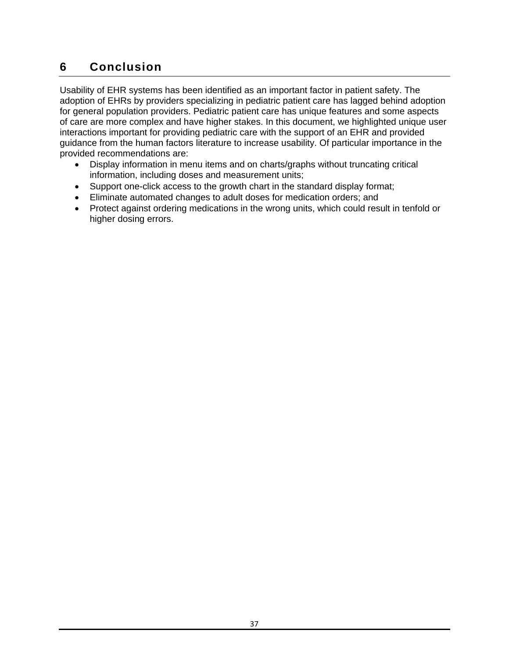## **6 Conclusion**

Usability of EHR systems has been identified as an important factor in patient safety. The adoption of EHRs by providers specializing in pediatric patient care has lagged behind adoption for general population providers. Pediatric patient care has unique features and some aspects of care are more complex and have higher stakes. In this document, we highlighted unique user interactions important for providing pediatric care with the support of an EHR and provided guidance from the human factors literature to increase usability. Of particular importance in the provided recommendations are:

- Display information in menu items and on charts/graphs without truncating critical information, including doses and measurement units;
- Support one-click access to the growth chart in the standard display format;
- Eliminate automated changes to adult doses for medication orders; and
- Protect against ordering medications in the wrong units, which could result in tenfold or higher dosing errors.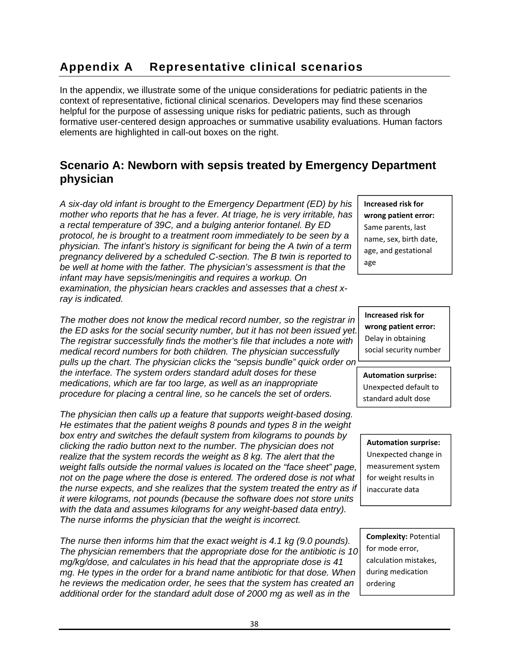#### **Appendix A Representative clinical scenarios**

In the appendix, we illustrate some of the unique considerations for pediatric patients in the context of representative, fictional clinical scenarios. Developers may find these scenarios helpful for the purpose of assessing unique risks for pediatric patients, such as through formative user-centered design approaches or summative usability evaluations. Human factors elements are highlighted in call-out boxes on the right.

#### **Scenario A: Newborn with sepsis treated by Emergency Department physician**

*A six-day old infant is brought to the Emergency Department (ED) by his mother who reports that he has a fever. At triage, he is very irritable, has a rectal temperature of 39C, and a bulging anterior fontanel. By ED protocol, he is brought to a treatment room immediately to be seen by a physician. The infant's history is significant for being the A twin of a term pregnancy delivered by a scheduled C-section. The B twin is reported to be well at home with the father. The physician's assessment is that the infant may have sepsis/meningitis and requires a workup. On examination, the physician hears crackles and assesses that a chest xray is indicated.* 

*The mother does not know the medical record number, so the registrar in the ED asks for the social security number, but it has not been issued yet. The registrar successfully finds the mother's file that includes a note with medical record numbers for both children. The physician successfully pulls up the chart. The physician clicks the "sepsis bundle" quick order on the interface. The system orders standard adult doses for these medications, which are far too large, as well as an inappropriate procedure for placing a central line, so he cancels the set of orders.* 

*The physician then calls up a feature that supports weight-based dosing. He estimates that the patient weighs 8 pounds and types 8 in the weight box entry and switches the default system from kilograms to pounds by clicking the radio button next to the number. The physician does not realize that the system records the weight as 8 kg. The alert that the weight falls outside the normal values is located on the "face sheet" page, not on the page where the dose is entered. The ordered dose is not what the nurse expects, and she realizes that the system treated the entry as if it were kilograms, not pounds (because the software does not store units with the data and assumes kilograms for any weight-based data entry). The nurse informs the physician that the weight is incorrect.* 

*The nurse then informs him that the exact weight is 4.1 kg (9.0 pounds). The physician remembers that the appropriate dose for the antibiotic is 10 mg/kg/dose, and calculates in his head that the appropriate dose is 41 mg. He types in the order for a brand name antibiotic for that dose. When he reviews the medication order, he sees that the system has created an additional order for the standard adult dose of 2000 mg as well as in the* 

**Increased risk for wrong patient error:** Same parents, last name, sex, birth date, age, and gestational age

**Increased risk for wrong patient error:** Delay in obtaining social security number

**Automation surprise:** Unexpected default to standard adult dose

**Automation surprise:** Unexpected change in measurement system for weight results in inaccurate data

**Complexity:** Potential for mode error, calculation mistakes, during medication ordering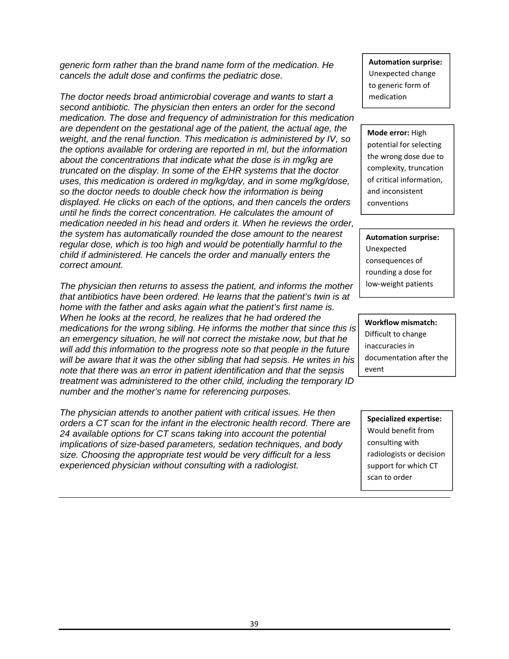*generic form rather than the brand name form of the medication. He cancels the adult dose and confirms the pediatric dose.* 

*The doctor needs broad antimicrobial coverage and wants to start a second antibiotic. The physician then enters an order for the second medication. The dose and frequency of administration for this medication are dependent on the gestational age of the patient, the actual age, the weight, and the renal function. This medication is administered by IV, so the options available for ordering are reported in ml, but the information about the concentrations that indicate what the dose is in mg/kg are truncated on the display. In some of the EHR systems that the doctor uses, this medication is ordered in mg/kg/day, and in some mg/kg/dose, so the doctor needs to double check how the information is being displayed. He clicks on each of the options, and then cancels the orders until he finds the correct concentration. He calculates the amount of medication needed in his head and orders it. When he reviews the order, the system has automatically rounded the dose amount to the nearest regular dose, which is too high and would be potentially harmful to the child if administered. He cancels the order and manually enters the correct amount.* 

*The physician then returns to assess the patient, and informs the mother that antibiotics have been ordered. He learns that the patient's twin is at home with the father and asks again what the patient's first name is. When he looks at the record, he realizes that he had ordered the medications for the wrong sibling. He informs the mother that since this is an emergency situation, he will not correct the mistake now, but that he will add this information to the progress note so that people in the future will be aware that it was the other sibling that had sepsis. He writes in his note that there was an error in patient identification and that the sepsis treatment was administered to the other child, including the temporary ID number and the mother's name for referencing purposes.* 

*The physician attends to another patient with critical issues. He then orders a CT scan for the infant in the electronic health record. There are 24 available options for CT scans taking into account the potential implications of size-based parameters, sedation techniques, and body size. Choosing the appropriate test would be very difficult for a less experienced physician without consulting with a radiologist.* 

**Automation surprise:** Unexpected change to generic form of medication

**Mode error:** High potential for selecting the wrong dose due to complexity, truncation of critical information, and inconsistent conventions

**Automation surprise:** Unexpected consequences of rounding a dose for low‐weight patients

**Workflow mismatch:** Difficult to change inaccuracies in documentation after the event

**Specialized expertise:** Would benefit from consulting with radiologists or decision support for which CT scan to order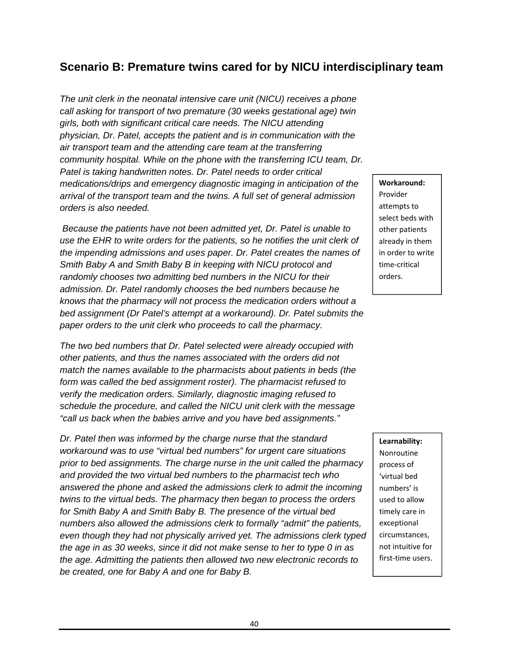#### **Scenario B: Premature twins cared for by NICU interdisciplinary team**

*The unit clerk in the neonatal intensive care unit (NICU) receives a phone call asking for transport of two premature (30 weeks gestational age) twin girls, both with significant critical care needs. The NICU attending physician, Dr. Patel, accepts the patient and is in communication with the air transport team and the attending care team at the transferring community hospital. While on the phone with the transferring ICU team, Dr. Patel is taking handwritten notes. Dr. Patel needs to order critical medications/drips and emergency diagnostic imaging in anticipation of the arrival of the transport team and the twins. A full set of general admission orders is also needed.* 

 *Because the patients have not been admitted yet, Dr. Patel is unable to use the EHR to write orders for the patients, so he notifies the unit clerk of the impending admissions and uses paper. Dr. Patel creates the names of Smith Baby A and Smith Baby B in keeping with NICU protocol and randomly chooses two admitting bed numbers in the NICU for their admission. Dr. Patel randomly chooses the bed numbers because he knows that the pharmacy will not process the medication orders without a bed assignment (Dr Patel's attempt at a workaround). Dr. Patel submits the paper orders to the unit clerk who proceeds to call the pharmacy.* 

*The two bed numbers that Dr. Patel selected were already occupied with other patients, and thus the names associated with the orders did not match the names available to the pharmacists about patients in beds (the form was called the bed assignment roster). The pharmacist refused to verify the medication orders. Similarly, diagnostic imaging refused to schedule the procedure, and called the NICU unit clerk with the message "call us back when the babies arrive and you have bed assignments."* 

*Dr. Patel then was informed by the charge nurse that the standard workaround was to use "virtual bed numbers" for urgent care situations prior to bed assignments. The charge nurse in the unit called the pharmacy and provided the two virtual bed numbers to the pharmacist tech who answered the phone and asked the admissions clerk to admit the incoming twins to the virtual beds. The pharmacy then began to process the orders for Smith Baby A and Smith Baby B. The presence of the virtual bed numbers also allowed the admissions clerk to formally "admit" the patients, even though they had not physically arrived yet. The admissions clerk typed the age in as 30 weeks, since it did not make sense to her to type 0 in as the age. Admitting the patients then allowed two new electronic records to be created, one for Baby A and one for Baby B.* 

**Workaround:** Provider attempts to select beds with other patients already in them in order to write time‐critical orders.

**Learnability:** Nonroutine process of 'virtual bed numbers' is used to allow timely care in exceptional circumstances, not intuitive for first-time users.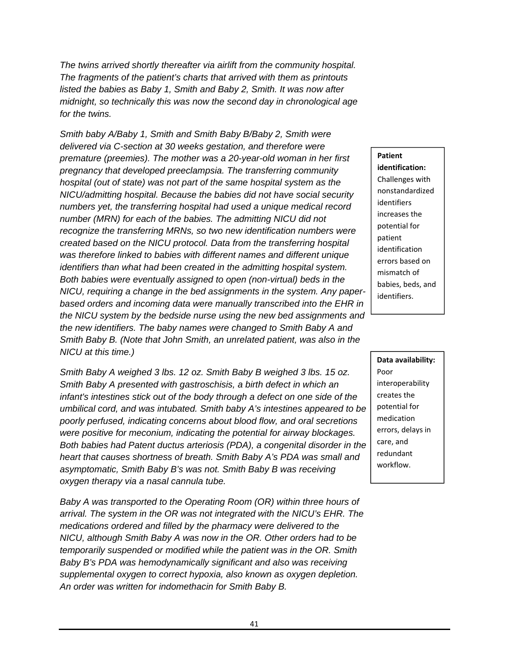*The twins arrived shortly thereafter via airlift from the community hospital. The fragments of the patient's charts that arrived with them as printouts listed the babies as Baby 1, Smith and Baby 2, Smith. It was now after midnight, so technically this was now the second day in chronological age for the twins.* 

*Smith baby A/Baby 1, Smith and Smith Baby B/Baby 2, Smith were delivered via C-section at 30 weeks gestation, and therefore were premature (preemies). The mother was a 20-year-old woman in her first pregnancy that developed preeclampsia. The transferring community hospital (out of state) was not part of the same hospital system as the NICU/admitting hospital. Because the babies did not have social security numbers yet, the transferring hospital had used a unique medical record number (MRN) for each of the babies. The admitting NICU did not recognize the transferring MRNs, so two new identification numbers were created based on the NICU protocol. Data from the transferring hospital was therefore linked to babies with different names and different unique identifiers than what had been created in the admitting hospital system. Both babies were eventually assigned to open (non-virtual) beds in the NICU, requiring a change in the bed assignments in the system. Any paperbased orders and incoming data were manually transcribed into the EHR in the NICU system by the bedside nurse using the new bed assignments and the new identifiers. The baby names were changed to Smith Baby A and Smith Baby B. (Note that John Smith, an unrelated patient, was also in the NICU at this time.)* 

*Smith Baby A weighed 3 lbs. 12 oz. Smith Baby B weighed 3 lbs. 15 oz. Smith Baby A presented with gastroschisis, a birth defect in which an infant's intestines stick out of the body through a defect on one side of the umbilical cord, and was intubated. Smith baby A's intestines appeared to be poorly perfused, indicating concerns about blood flow, and oral secretions were positive for meconium, indicating the potential for airway blockages. Both babies had Patent ductus arteriosis (PDA), a congenital disorder in the heart that causes shortness of breath. Smith Baby A's PDA was small and asymptomatic, Smith Baby B's was not. Smith Baby B was receiving oxygen therapy via a nasal cannula tube.* 

*Baby A was transported to the Operating Room (OR) within three hours of arrival. The system in the OR was not integrated with the NICU's EHR. The medications ordered and filled by the pharmacy were delivered to the NICU, although Smith Baby A was now in the OR. Other orders had to be temporarily suspended or modified while the patient was in the OR. Smith Baby B's PDA was hemodynamically significant and also was receiving supplemental oxygen to correct hypoxia, also known as oxygen depletion. An order was written for indomethacin for Smith Baby B.* 

**Patient identification:** Challenges with nonstandardized identifiers increases the potential for patient identification errors based on mismatch of babies, beds, and identifiers.

**Data availability:** Poor interoperability creates the potential for medication errors, delays in care, and redundant workflow.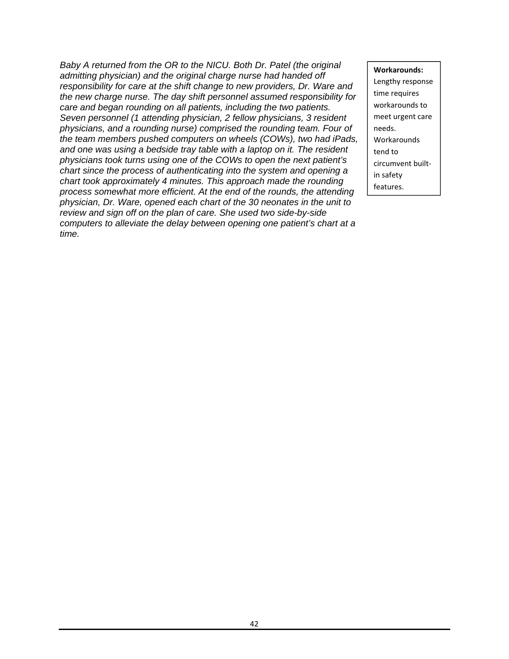*Baby A returned from the OR to the NICU. Both Dr. Patel (the original admitting physician) and the original charge nurse had handed off responsibility for care at the shift change to new providers, Dr. Ware and the new charge nurse. The day shift personnel assumed responsibility for care and began rounding on all patients, including the two patients. Seven personnel (1 attending physician, 2 fellow physicians, 3 resident physicians, and a rounding nurse) comprised the rounding team. Four of the team members pushed computers on wheels (COWs), two had iPads, and one was using a bedside tray table with a laptop on it. The resident physicians took turns using one of the COWs to open the next patient's chart since the process of authenticating into the system and opening a chart took approximately 4 minutes. This approach made the rounding process somewhat more efficient. At the end of the rounds, the attending physician, Dr. Ware, opened each chart of the 30 neonates in the unit to review and sign off on the plan of care. She used two side-by-side computers to alleviate the delay between opening one patient's chart at a time.*

#### **Workarounds:**

Lengthy response time requires workarounds to meet urgent care needs. Workarounds tend to circumvent built‐ in safety features.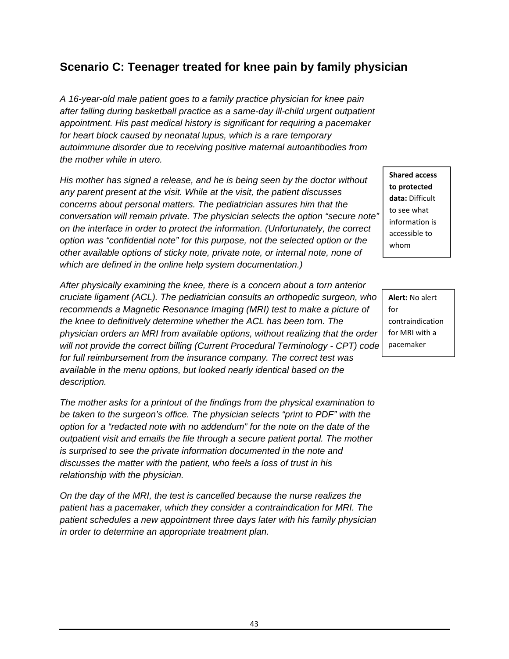#### **Scenario C: Teenager treated for knee pain by family physician**

*A 16-year-old male patient goes to a family practice physician for knee pain after falling during basketball practice as a same-day ill-child urgent outpatient appointment. His past medical history is significant for requiring a pacemaker for heart block caused by neonatal lupus, which is a rare temporary autoimmune disorder due to receiving positive maternal autoantibodies from the mother while in utero.* 

*His mother has signed a release, and he is being seen by the doctor without any parent present at the visit. While at the visit, the patient discusses concerns about personal matters. The pediatrician assures him that the conversation will remain private. The physician selects the option "secure note" on the interface in order to protect the information. (Unfortunately, the correct option was "confidential note" for this purpose, not the selected option or the other available options of sticky note, private note, or internal note, none of which are defined in the online help system documentation.)* 

*After physically examining the knee, there is a concern about a torn anterior cruciate ligament (ACL). The pediatrician consults an orthopedic surgeon, who recommends a Magnetic Resonance Imaging (MRI) test to make a picture of the knee to definitively determine whether the ACL has been torn. The physician orders an MRI from available options, without realizing that the order will not provide the correct billing (Current Procedural Terminology - CPT) code for full reimbursement from the insurance company. The correct test was available in the menu options, but looked nearly identical based on the description.* 

*The mother asks for a printout of the findings from the physical examination to be taken to the surgeon's office. The physician selects "print to PDF" with the option for a "redacted note with no addendum" for the note on the date of the outpatient visit and emails the file through a secure patient portal. The mother is surprised to see the private information documented in the note and discusses the matter with the patient, who feels a loss of trust in his relationship with the physician.* 

*On the day of the MRI, the test is cancelled because the nurse realizes the patient has a pacemaker, which they consider a contraindication for MRI. The patient schedules a new appointment three days later with his family physician in order to determine an appropriate treatment plan.* 

**Shared access to protected data:** Difficult to see what information is accessible to whom

**Alert:** No alert for contraindication for MRI with a pacemaker